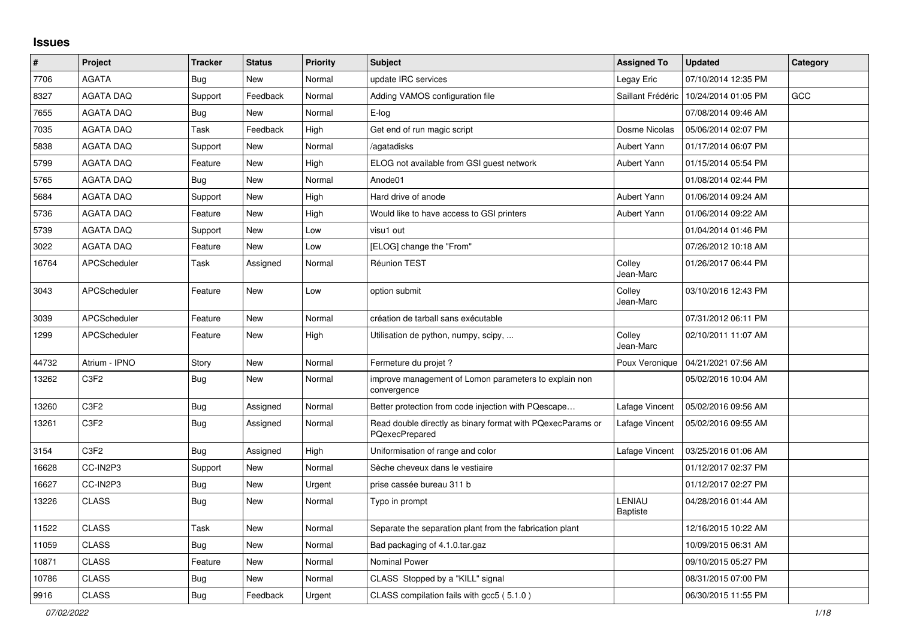## **Issues**

| #     | Project                       | <b>Tracker</b> | <b>Status</b> | Priority | <b>Subject</b>                                                               | <b>Assigned To</b>        | <b>Updated</b>      | Category   |
|-------|-------------------------------|----------------|---------------|----------|------------------------------------------------------------------------------|---------------------------|---------------------|------------|
| 7706  | <b>AGATA</b>                  | Bug            | New           | Normal   | update IRC services                                                          | Legay Eric                | 07/10/2014 12:35 PM |            |
| 8327  | <b>AGATA DAQ</b>              | Support        | Feedback      | Normal   | Adding VAMOS configuration file                                              | Saillant Frédéric         | 10/24/2014 01:05 PM | <b>GCC</b> |
| 7655  | <b>AGATA DAQ</b>              | <b>Bug</b>     | New           | Normal   | E-log                                                                        |                           | 07/08/2014 09:46 AM |            |
| 7035  | <b>AGATA DAQ</b>              | Task           | Feedback      | High     | Get end of run magic script                                                  | Dosme Nicolas             | 05/06/2014 02:07 PM |            |
| 5838  | <b>AGATA DAQ</b>              | Support        | New           | Normal   | /agatadisks                                                                  | Aubert Yann               | 01/17/2014 06:07 PM |            |
| 5799  | <b>AGATA DAQ</b>              | Feature        | New           | High     | ELOG not available from GSI guest network                                    | Aubert Yann               | 01/15/2014 05:54 PM |            |
| 5765  | <b>AGATA DAQ</b>              | <b>Bug</b>     | New           | Normal   | Anode01                                                                      |                           | 01/08/2014 02:44 PM |            |
| 5684  | <b>AGATA DAQ</b>              | Support        | New           | High     | Hard drive of anode                                                          | Aubert Yann               | 01/06/2014 09:24 AM |            |
| 5736  | <b>AGATA DAQ</b>              | Feature        | New           | High     | Would like to have access to GSI printers                                    | Aubert Yann               | 01/06/2014 09:22 AM |            |
| 5739  | <b>AGATA DAQ</b>              | Support        | New           | Low      | visu1 out                                                                    |                           | 01/04/2014 01:46 PM |            |
| 3022  | <b>AGATA DAQ</b>              | Feature        | New           | Low      | [ELOG] change the "From"                                                     |                           | 07/26/2012 10:18 AM |            |
| 16764 | APCScheduler                  | Task           | Assigned      | Normal   | <b>Réunion TEST</b>                                                          | Colley<br>Jean-Marc       | 01/26/2017 06:44 PM |            |
| 3043  | APCScheduler                  | Feature        | New           | Low      | option submit                                                                | Colley<br>Jean-Marc       | 03/10/2016 12:43 PM |            |
| 3039  | APCScheduler                  | Feature        | New           | Normal   | création de tarball sans exécutable                                          |                           | 07/31/2012 06:11 PM |            |
| 1299  | APCScheduler                  | Feature        | New           | High     | Utilisation de python, numpy, scipy,                                         | Colley<br>Jean-Marc       | 02/10/2011 11:07 AM |            |
| 44732 | Atrium - IPNO                 | Story          | New           | Normal   | Fermeture du projet ?                                                        | Poux Veronique            | 04/21/2021 07:56 AM |            |
| 13262 | C <sub>3</sub> F <sub>2</sub> | <b>Bug</b>     | New           | Normal   | improve management of Lomon parameters to explain non<br>convergence         |                           | 05/02/2016 10:04 AM |            |
| 13260 | C <sub>3F2</sub>              | Bug            | Assigned      | Normal   | Better protection from code injection with PQescape                          | Lafage Vincent            | 05/02/2016 09:56 AM |            |
| 13261 | C <sub>3</sub> F <sub>2</sub> | Bug            | Assigned      | Normal   | Read double directly as binary format with PQexecParams or<br>PQexecPrepared | Lafage Vincent            | 05/02/2016 09:55 AM |            |
| 3154  | C <sub>3</sub> F <sub>2</sub> | Bug            | Assigned      | High     | Uniformisation of range and color                                            | Lafage Vincent            | 03/25/2016 01:06 AM |            |
| 16628 | CC-IN2P3                      | Support        | New           | Normal   | Sèche cheveux dans le vestiaire                                              |                           | 01/12/2017 02:37 PM |            |
| 16627 | CC-IN2P3                      | <b>Bug</b>     | New           | Urgent   | prise cassée bureau 311 b                                                    |                           | 01/12/2017 02:27 PM |            |
| 13226 | <b>CLASS</b>                  | Bug            | <b>New</b>    | Normal   | Typo in prompt                                                               | LENIAU<br><b>Baptiste</b> | 04/28/2016 01:44 AM |            |
| 11522 | <b>CLASS</b>                  | Task           | New           | Normal   | Separate the separation plant from the fabrication plant                     |                           | 12/16/2015 10:22 AM |            |
| 11059 | <b>CLASS</b>                  | <b>Bug</b>     | <b>New</b>    | Normal   | Bad packaging of 4.1.0.tar.gaz                                               |                           | 10/09/2015 06:31 AM |            |
| 10871 | <b>CLASS</b>                  | Feature        | New           | Normal   | Nominal Power                                                                |                           | 09/10/2015 05:27 PM |            |
| 10786 | <b>CLASS</b>                  | Bug            | New           | Normal   | CLASS Stopped by a "KILL" signal                                             |                           | 08/31/2015 07:00 PM |            |
| 9916  | <b>CLASS</b>                  | Bug            | Feedback      | Urgent   | CLASS compilation fails with gcc5 (5.1.0)                                    |                           | 06/30/2015 11:55 PM |            |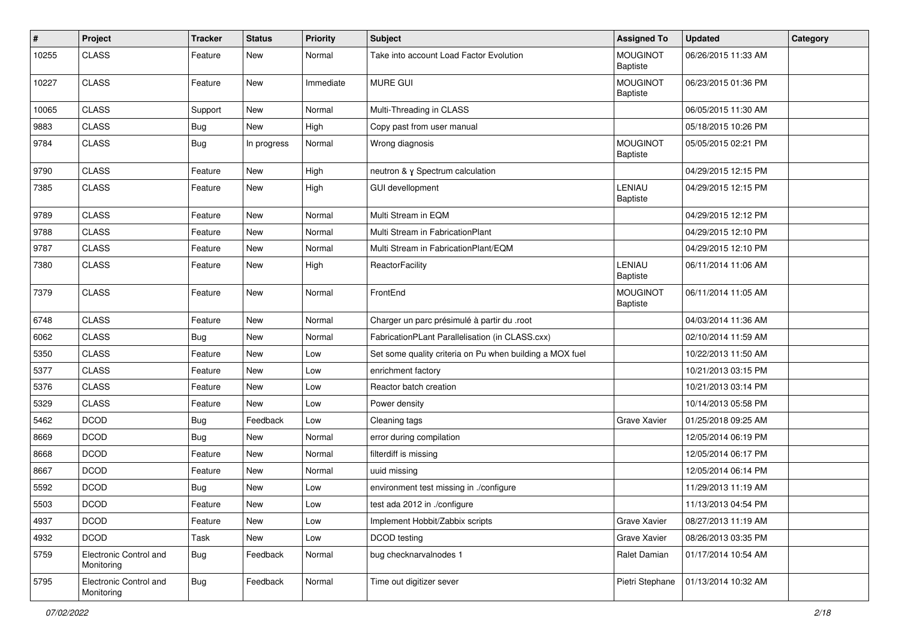| $\vert$ # | Project                              | <b>Tracker</b> | <b>Status</b> | <b>Priority</b> | <b>Subject</b>                                           | <b>Assigned To</b>                 | <b>Updated</b>      | Category |
|-----------|--------------------------------------|----------------|---------------|-----------------|----------------------------------------------------------|------------------------------------|---------------------|----------|
| 10255     | <b>CLASS</b>                         | Feature        | New           | Normal          | Take into account Load Factor Evolution                  | <b>MOUGINOT</b><br>Baptiste        | 06/26/2015 11:33 AM |          |
| 10227     | <b>CLASS</b>                         | Feature        | <b>New</b>    | Immediate       | MURE GUI                                                 | <b>MOUGINOT</b><br><b>Baptiste</b> | 06/23/2015 01:36 PM |          |
| 10065     | <b>CLASS</b>                         | Support        | <b>New</b>    | Normal          | Multi-Threading in CLASS                                 |                                    | 06/05/2015 11:30 AM |          |
| 9883      | <b>CLASS</b>                         | Bug            | New           | High            | Copy past from user manual                               |                                    | 05/18/2015 10:26 PM |          |
| 9784      | <b>CLASS</b>                         | <b>Bug</b>     | In progress   | Normal          | Wrong diagnosis                                          | <b>MOUGINOT</b><br><b>Baptiste</b> | 05/05/2015 02:21 PM |          |
| 9790      | <b>CLASS</b>                         | Feature        | <b>New</b>    | High            | neutron & y Spectrum calculation                         |                                    | 04/29/2015 12:15 PM |          |
| 7385      | <b>CLASS</b>                         | Feature        | New           | High            | <b>GUI devellopment</b>                                  | LENIAU<br>Baptiste                 | 04/29/2015 12:15 PM |          |
| 9789      | <b>CLASS</b>                         | Feature        | New           | Normal          | Multi Stream in EQM                                      |                                    | 04/29/2015 12:12 PM |          |
| 9788      | <b>CLASS</b>                         | Feature        | <b>New</b>    | Normal          | Multi Stream in FabricationPlant                         |                                    | 04/29/2015 12:10 PM |          |
| 9787      | <b>CLASS</b>                         | Feature        | New           | Normal          | Multi Stream in FabricationPlant/EQM                     |                                    | 04/29/2015 12:10 PM |          |
| 7380      | <b>CLASS</b>                         | Feature        | New           | High            | <b>ReactorFacility</b>                                   | LENIAU<br>Baptiste                 | 06/11/2014 11:06 AM |          |
| 7379      | <b>CLASS</b>                         | Feature        | <b>New</b>    | Normal          | FrontEnd                                                 | <b>MOUGINOT</b><br><b>Baptiste</b> | 06/11/2014 11:05 AM |          |
| 6748      | <b>CLASS</b>                         | Feature        | <b>New</b>    | Normal          | Charger un parc présimulé à partir du .root              |                                    | 04/03/2014 11:36 AM |          |
| 6062      | <b>CLASS</b>                         | Bug            | New           | Normal          | FabricationPLant Parallelisation (in CLASS.cxx)          |                                    | 02/10/2014 11:59 AM |          |
| 5350      | <b>CLASS</b>                         | Feature        | <b>New</b>    | Low             | Set some quality criteria on Pu when building a MOX fuel |                                    | 10/22/2013 11:50 AM |          |
| 5377      | <b>CLASS</b>                         | Feature        | New           | Low             | enrichment factory                                       |                                    | 10/21/2013 03:15 PM |          |
| 5376      | <b>CLASS</b>                         | Feature        | <b>New</b>    | Low             | Reactor batch creation                                   |                                    | 10/21/2013 03:14 PM |          |
| 5329      | <b>CLASS</b>                         | Feature        | New           | Low             | Power density                                            |                                    | 10/14/2013 05:58 PM |          |
| 5462      | <b>DCOD</b>                          | <b>Bug</b>     | Feedback      | Low             | Cleaning tags                                            | Grave Xavier                       | 01/25/2018 09:25 AM |          |
| 8669      | <b>DCOD</b>                          | Bug            | New           | Normal          | error during compilation                                 |                                    | 12/05/2014 06:19 PM |          |
| 8668      | <b>DCOD</b>                          | Feature        | New           | Normal          | filterdiff is missing                                    |                                    | 12/05/2014 06:17 PM |          |
| 8667      | <b>DCOD</b>                          | Feature        | New           | Normal          | uuid missing                                             |                                    | 12/05/2014 06:14 PM |          |
| 5592      | <b>DCOD</b>                          | <b>Bug</b>     | New           | Low             | environment test missing in ./configure                  |                                    | 11/29/2013 11:19 AM |          |
| 5503      | <b>DCOD</b>                          | Feature        | <b>New</b>    | Low             | test ada 2012 in ./configure                             |                                    | 11/13/2013 04:54 PM |          |
| 4937      | <b>DCOD</b>                          | Feature        | New           | Low             | Implement Hobbit/Zabbix scripts                          | Grave Xavier                       | 08/27/2013 11:19 AM |          |
| 4932      | <b>DCOD</b>                          | Task           | New           | Low             | DCOD testing                                             | Grave Xavier                       | 08/26/2013 03:35 PM |          |
| 5759      | Electronic Control and<br>Monitoring | <b>Bug</b>     | Feedback      | Normal          | bug checknarvalnodes 1                                   | Ralet Damian                       | 01/17/2014 10:54 AM |          |
| 5795      | Electronic Control and<br>Monitoring | <b>Bug</b>     | Feedback      | Normal          | Time out digitizer sever                                 | Pietri Stephane                    | 01/13/2014 10:32 AM |          |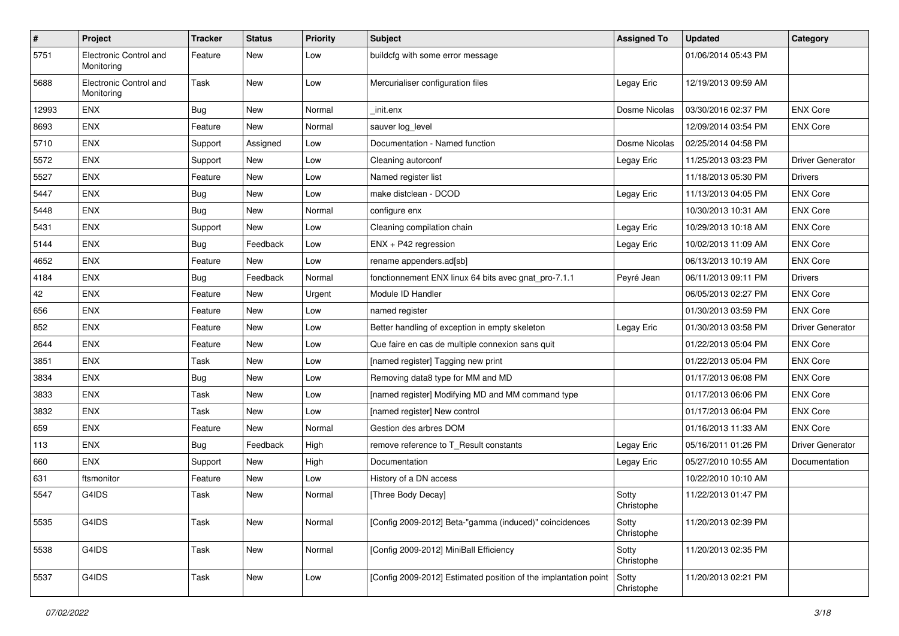| $\vert$ # | Project                              | <b>Tracker</b> | <b>Status</b> | <b>Priority</b> | <b>Subject</b>                                                  | <b>Assigned To</b>  | <b>Updated</b>      | Category         |
|-----------|--------------------------------------|----------------|---------------|-----------------|-----------------------------------------------------------------|---------------------|---------------------|------------------|
| 5751      | Electronic Control and<br>Monitoring | Feature        | New           | Low             | buildcfg with some error message                                |                     | 01/06/2014 05:43 PM |                  |
| 5688      | Electronic Control and<br>Monitoring | Task           | <b>New</b>    | Low             | Mercurialiser configuration files                               | Legay Eric          | 12/19/2013 09:59 AM |                  |
| 12993     | <b>ENX</b>                           | <b>Bug</b>     | <b>New</b>    | Normal          | init.enx                                                        | Dosme Nicolas       | 03/30/2016 02:37 PM | <b>ENX Core</b>  |
| 8693      | <b>ENX</b>                           | Feature        | <b>New</b>    | Normal          | sauver log_level                                                |                     | 12/09/2014 03:54 PM | <b>ENX Core</b>  |
| 5710      | ENX                                  | Support        | Assigned      | Low             | Documentation - Named function                                  | Dosme Nicolas       | 02/25/2014 04:58 PM |                  |
| 5572      | <b>ENX</b>                           | Support        | New           | Low             | Cleaning autorconf                                              | Legay Eric          | 11/25/2013 03:23 PM | Driver Generator |
| 5527      | <b>ENX</b>                           | Feature        | New           | Low             | Named register list                                             |                     | 11/18/2013 05:30 PM | <b>Drivers</b>   |
| 5447      | ENX                                  | Bug            | <b>New</b>    | Low             | make distclean - DCOD                                           | Legay Eric          | 11/13/2013 04:05 PM | <b>ENX Core</b>  |
| 5448      | <b>ENX</b>                           | <b>Bug</b>     | <b>New</b>    | Normal          | configure enx                                                   |                     | 10/30/2013 10:31 AM | <b>ENX Core</b>  |
| 5431      | <b>ENX</b>                           | Support        | New           | Low             | Cleaning compilation chain                                      | Legay Eric          | 10/29/2013 10:18 AM | <b>ENX Core</b>  |
| 5144      | ENX                                  | Bug            | Feedback      | Low             | ENX + P42 regression                                            | Legay Eric          | 10/02/2013 11:09 AM | <b>ENX Core</b>  |
| 4652      | <b>ENX</b>                           | Feature        | New           | Low             | rename appenders.ad[sb]                                         |                     | 06/13/2013 10:19 AM | <b>ENX Core</b>  |
| 4184      | <b>ENX</b>                           | <b>Bug</b>     | Feedback      | Normal          | fonctionnement ENX linux 64 bits avec gnat_pro-7.1.1            | Peyré Jean          | 06/11/2013 09:11 PM | <b>Drivers</b>   |
| 42        | <b>ENX</b>                           | Feature        | <b>New</b>    | Urgent          | Module ID Handler                                               |                     | 06/05/2013 02:27 PM | <b>ENX Core</b>  |
| 656       | <b>ENX</b>                           | Feature        | <b>New</b>    | Low             | named register                                                  |                     | 01/30/2013 03:59 PM | <b>ENX Core</b>  |
| 852       | <b>ENX</b>                           | Feature        | <b>New</b>    | Low             | Better handling of exception in empty skeleton                  | Legay Eric          | 01/30/2013 03:58 PM | Driver Generator |
| 2644      | <b>ENX</b>                           | Feature        | New           | Low             | Que faire en cas de multiple connexion sans quit                |                     | 01/22/2013 05:04 PM | <b>ENX Core</b>  |
| 3851      | ENX                                  | Task           | New           | Low             | [named register] Tagging new print                              |                     | 01/22/2013 05:04 PM | <b>ENX Core</b>  |
| 3834      | <b>ENX</b>                           | Bug            | <b>New</b>    | Low             | Removing data8 type for MM and MD                               |                     | 01/17/2013 06:08 PM | <b>ENX Core</b>  |
| 3833      | ENX                                  | Task           | <b>New</b>    | Low             | [named register] Modifying MD and MM command type               |                     | 01/17/2013 06:06 PM | <b>ENX Core</b>  |
| 3832      | <b>ENX</b>                           | Task           | <b>New</b>    | Low             | [named register] New control                                    |                     | 01/17/2013 06:04 PM | <b>ENX Core</b>  |
| 659       | <b>ENX</b>                           | Feature        | <b>New</b>    | Normal          | Gestion des arbres DOM                                          |                     | 01/16/2013 11:33 AM | <b>ENX Core</b>  |
| 113       | <b>ENX</b>                           | Bug            | Feedback      | High            | remove reference to T_Result constants                          | Legay Eric          | 05/16/2011 01:26 PM | Driver Generator |
| 660       | <b>ENX</b>                           | Support        | New           | High            | Documentation                                                   | Legay Eric          | 05/27/2010 10:55 AM | Documentation    |
| 631       | ftsmonitor                           | Feature        | New           | Low             | History of a DN access                                          |                     | 10/22/2010 10:10 AM |                  |
| 5547      | G4IDS                                | Task           | <b>New</b>    | Normal          | [Three Body Decay]                                              | Sotty<br>Christophe | 11/22/2013 01:47 PM |                  |
| 5535      | G4IDS                                | Task           | New           | Normal          | [Config 2009-2012] Beta-"gamma (induced)" coincidences          | Sotty<br>Christophe | 11/20/2013 02:39 PM |                  |
| 5538      | G4IDS                                | Task           | New           | Normal          | [Config 2009-2012] MiniBall Efficiency                          | Sotty<br>Christophe | 11/20/2013 02:35 PM |                  |
| 5537      | G4IDS                                | Task           | New           | Low             | [Config 2009-2012] Estimated position of the implantation point | Sotty<br>Christophe | 11/20/2013 02:21 PM |                  |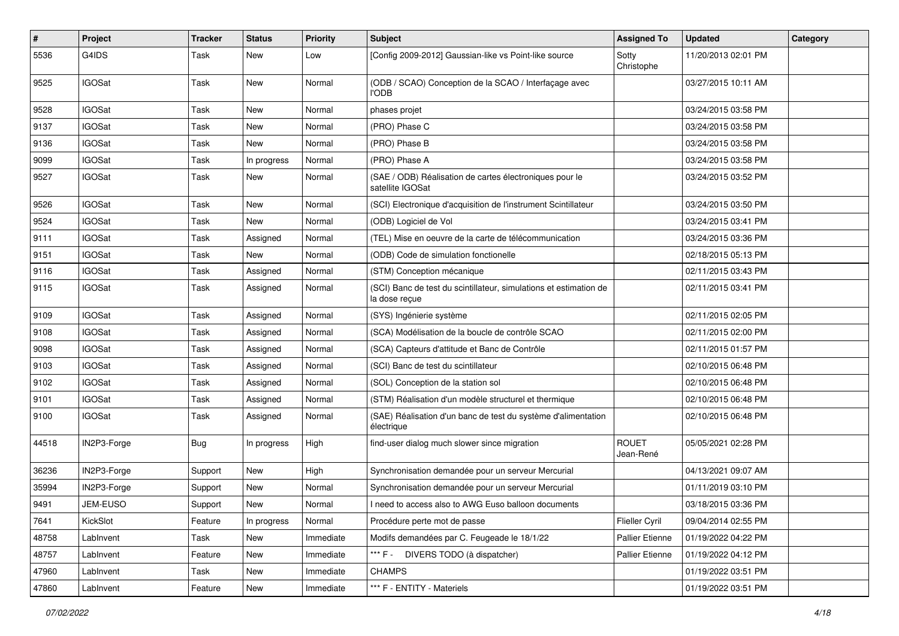| $\sharp$ | Project       | <b>Tracker</b> | <b>Status</b> | <b>Priority</b> | <b>Subject</b>                                                                     | <b>Assigned To</b>        | <b>Updated</b>      | Category |
|----------|---------------|----------------|---------------|-----------------|------------------------------------------------------------------------------------|---------------------------|---------------------|----------|
| 5536     | G4IDS         | Task           | New           | Low             | [Config 2009-2012] Gaussian-like vs Point-like source                              | Sotty<br>Christophe       | 11/20/2013 02:01 PM |          |
| 9525     | <b>IGOSat</b> | Task           | <b>New</b>    | Normal          | (ODB / SCAO) Conception de la SCAO / Interfaçage avec<br><b>I'ODB</b>              |                           | 03/27/2015 10:11 AM |          |
| 9528     | <b>IGOSat</b> | Task           | <b>New</b>    | Normal          | phases projet                                                                      |                           | 03/24/2015 03:58 PM |          |
| 9137     | <b>IGOSat</b> | Task           | New           | Normal          | (PRO) Phase C                                                                      |                           | 03/24/2015 03:58 PM |          |
| 9136     | <b>IGOSat</b> | Task           | <b>New</b>    | Normal          | (PRO) Phase B                                                                      |                           | 03/24/2015 03:58 PM |          |
| 9099     | <b>IGOSat</b> | Task           | In progress   | Normal          | (PRO) Phase A                                                                      |                           | 03/24/2015 03:58 PM |          |
| 9527     | <b>IGOSat</b> | Task           | New           | Normal          | (SAE / ODB) Réalisation de cartes électroniques pour le<br>satellite IGOSat        |                           | 03/24/2015 03:52 PM |          |
| 9526     | <b>IGOSat</b> | Task           | <b>New</b>    | Normal          | (SCI) Electronique d'acquisition de l'instrument Scintillateur                     |                           | 03/24/2015 03:50 PM |          |
| 9524     | <b>IGOSat</b> | Task           | <b>New</b>    | Normal          | (ODB) Logiciel de Vol                                                              |                           | 03/24/2015 03:41 PM |          |
| 9111     | <b>IGOSat</b> | Task           | Assigned      | Normal          | (TEL) Mise en oeuvre de la carte de télécommunication                              |                           | 03/24/2015 03:36 PM |          |
| 9151     | <b>IGOSat</b> | Task           | New           | Normal          | (ODB) Code de simulation fonctionelle                                              |                           | 02/18/2015 05:13 PM |          |
| 9116     | <b>IGOSat</b> | Task           | Assigned      | Normal          | (STM) Conception mécanique                                                         |                           | 02/11/2015 03:43 PM |          |
| 9115     | <b>IGOSat</b> | Task           | Assigned      | Normal          | (SCI) Banc de test du scintillateur, simulations et estimation de<br>la dose reçue |                           | 02/11/2015 03:41 PM |          |
| 9109     | <b>IGOSat</b> | Task           | Assigned      | Normal          | (SYS) Ingénierie système                                                           |                           | 02/11/2015 02:05 PM |          |
| 9108     | <b>IGOSat</b> | Task           | Assigned      | Normal          | (SCA) Modélisation de la boucle de contrôle SCAO                                   |                           | 02/11/2015 02:00 PM |          |
| 9098     | <b>IGOSat</b> | Task           | Assigned      | Normal          | (SCA) Capteurs d'attitude et Banc de Contrôle                                      |                           | 02/11/2015 01:57 PM |          |
| 9103     | <b>IGOSat</b> | Task           | Assigned      | Normal          | (SCI) Banc de test du scintillateur                                                |                           | 02/10/2015 06:48 PM |          |
| 9102     | <b>IGOSat</b> | Task           | Assigned      | Normal          | (SOL) Conception de la station sol                                                 |                           | 02/10/2015 06:48 PM |          |
| 9101     | <b>IGOSat</b> | Task           | Assigned      | Normal          | (STM) Réalisation d'un modèle structurel et thermique                              |                           | 02/10/2015 06:48 PM |          |
| 9100     | <b>IGOSat</b> | Task           | Assigned      | Normal          | (SAE) Réalisation d'un banc de test du système d'alimentation<br>électrique        |                           | 02/10/2015 06:48 PM |          |
| 44518    | IN2P3-Forge   | <b>Bug</b>     | In progress   | High            | find-user dialog much slower since migration                                       | <b>ROUET</b><br>Jean-René | 05/05/2021 02:28 PM |          |
| 36236    | IN2P3-Forge   | Support        | <b>New</b>    | High            | Synchronisation demandée pour un serveur Mercurial                                 |                           | 04/13/2021 09:07 AM |          |
| 35994    | IN2P3-Forge   | Support        | New           | Normal          | Synchronisation demandée pour un serveur Mercurial                                 |                           | 01/11/2019 03:10 PM |          |
| 9491     | JEM-EUSO      | Support        | New           | Normal          | I need to access also to AWG Euso balloon documents                                |                           | 03/18/2015 03:36 PM |          |
| 7641     | KickSlot      | Feature        | In progress   | Normal          | Procédure perte mot de passe                                                       | <b>Flieller Cyril</b>     | 09/04/2014 02:55 PM |          |
| 48758    | LabInvent     | Task           | <b>New</b>    | Immediate       | Modifs demandées par C. Feugeade le 18/1/22                                        | Pallier Etienne           | 01/19/2022 04:22 PM |          |
| 48757    | LabInvent     | Feature        | New           | Immediate       | *** F - DIVERS TODO (à dispatcher)                                                 | <b>Pallier Etienne</b>    | 01/19/2022 04:12 PM |          |
| 47960    | LabInvent     | Task           | New           | Immediate       | <b>CHAMPS</b>                                                                      |                           | 01/19/2022 03:51 PM |          |
| 47860    | LabInvent     | Feature        | New           | Immediate       | *** F - ENTITY - Materiels                                                         |                           | 01/19/2022 03:51 PM |          |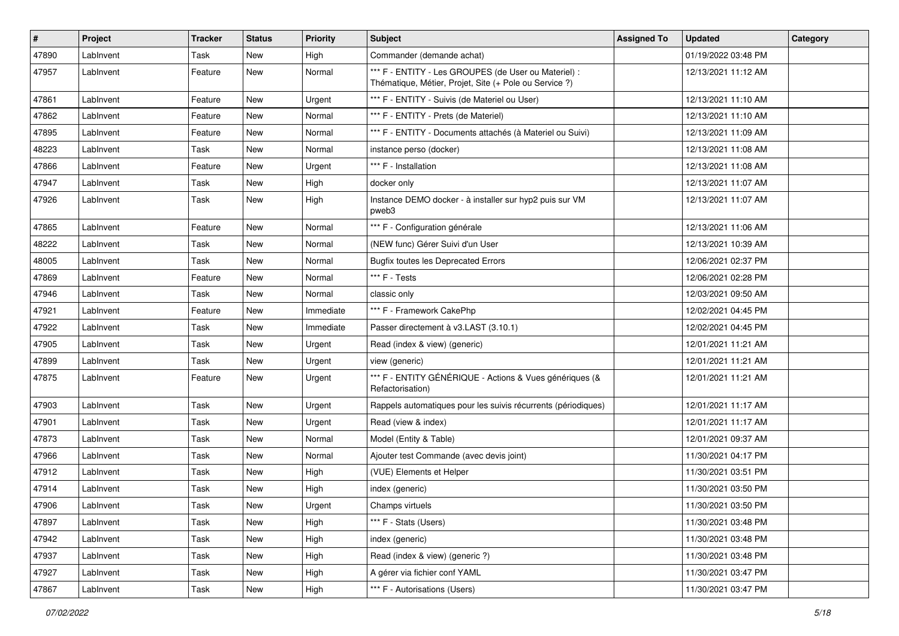| $\vert$ # | <b>Project</b> | <b>Tracker</b> | <b>Status</b> | <b>Priority</b> | <b>Subject</b>                                                                                                 | <b>Assigned To</b> | <b>Updated</b>      | Category |
|-----------|----------------|----------------|---------------|-----------------|----------------------------------------------------------------------------------------------------------------|--------------------|---------------------|----------|
| 47890     | LabInvent      | Task           | New           | High            | Commander (demande achat)                                                                                      |                    | 01/19/2022 03:48 PM |          |
| 47957     | LabInvent      | Feature        | New           | Normal          | *** F - ENTITY - Les GROUPES (de User ou Materiel) :<br>Thématique, Métier, Projet, Site (+ Pole ou Service ?) |                    | 12/13/2021 11:12 AM |          |
| 47861     | LabInvent      | Feature        | <b>New</b>    | Urgent          | *** F - ENTITY - Suivis (de Materiel ou User)                                                                  |                    | 12/13/2021 11:10 AM |          |
| 47862     | Lablnvent      | Feature        | New           | Normal          | *** F - ENTITY - Prets (de Materiel)                                                                           |                    | 12/13/2021 11:10 AM |          |
| 47895     | LabInvent      | Feature        | New           | Normal          | *** F - ENTITY - Documents attachés (à Materiel ou Suivi)                                                      |                    | 12/13/2021 11:09 AM |          |
| 48223     | Lablnvent      | Task           | New           | Normal          | instance perso (docker)                                                                                        |                    | 12/13/2021 11:08 AM |          |
| 47866     | LabInvent      | Feature        | New           | Urgent          | *** F - Installation                                                                                           |                    | 12/13/2021 11:08 AM |          |
| 47947     | LabInvent      | Task           | New           | High            | docker only                                                                                                    |                    | 12/13/2021 11:07 AM |          |
| 47926     | LabInvent      | Task           | <b>New</b>    | High            | Instance DEMO docker - à installer sur hyp2 puis sur VM<br>pweb3                                               |                    | 12/13/2021 11:07 AM |          |
| 47865     | Lablnvent      | Feature        | <b>New</b>    | Normal          | *** F - Configuration générale                                                                                 |                    | 12/13/2021 11:06 AM |          |
| 48222     | LabInvent      | Task           | New           | Normal          | (NEW func) Gérer Suivi d'un User                                                                               |                    | 12/13/2021 10:39 AM |          |
| 48005     | LabInvent      | Task           | New           | Normal          | <b>Bugfix toutes les Deprecated Errors</b>                                                                     |                    | 12/06/2021 02:37 PM |          |
| 47869     | Lablnvent      | Feature        | New           | Normal          | *** F - Tests                                                                                                  |                    | 12/06/2021 02:28 PM |          |
| 47946     | LabInvent      | Task           | New           | Normal          | classic only                                                                                                   |                    | 12/03/2021 09:50 AM |          |
| 47921     | LabInvent      | Feature        | New           | Immediate       | *** F - Framework CakePhp                                                                                      |                    | 12/02/2021 04:45 PM |          |
| 47922     | Lablnvent      | Task           | New           | Immediate       | Passer directement à v3.LAST (3.10.1)                                                                          |                    | 12/02/2021 04:45 PM |          |
| 47905     | LabInvent      | Task           | New           | Urgent          | Read (index & view) (generic)                                                                                  |                    | 12/01/2021 11:21 AM |          |
| 47899     | LabInvent      | Task           | New           | Urgent          | view (generic)                                                                                                 |                    | 12/01/2021 11:21 AM |          |
| 47875     | Lablnvent      | Feature        | New           | Urgent          | *** F - ENTITY GÉNÉRIQUE - Actions & Vues génériques (&<br>Refactorisation)                                    |                    | 12/01/2021 11:21 AM |          |
| 47903     | LabInvent      | Task           | <b>New</b>    | Urgent          | Rappels automatiques pour les suivis récurrents (périodiques)                                                  |                    | 12/01/2021 11:17 AM |          |
| 47901     | LabInvent      | Task           | New           | Urgent          | Read (view & index)                                                                                            |                    | 12/01/2021 11:17 AM |          |
| 47873     | LabInvent      | Task           | New           | Normal          | Model (Entity & Table)                                                                                         |                    | 12/01/2021 09:37 AM |          |
| 47966     | Lablnvent      | Task           | New           | Normal          | Ajouter test Commande (avec devis joint)                                                                       |                    | 11/30/2021 04:17 PM |          |
| 47912     | LabInvent      | Task           | New           | High            | (VUE) Elements et Helper                                                                                       |                    | 11/30/2021 03:51 PM |          |
| 47914     | LabInvent      | Task           | <b>New</b>    | High            | index (generic)                                                                                                |                    | 11/30/2021 03:50 PM |          |
| 47906     | LabInvent      | Task           | New           | Urgent          | Champs virtuels                                                                                                |                    | 11/30/2021 03:50 PM |          |
| 47897     | LabInvent      | Task           | New           | High            | *** F - Stats (Users)                                                                                          |                    | 11/30/2021 03:48 PM |          |
| 47942     | LabInvent      | Task           | New           | High            | index (generic)                                                                                                |                    | 11/30/2021 03:48 PM |          |
| 47937     | LabInvent      | Task           | New           | High            | Read (index & view) (generic ?)                                                                                |                    | 11/30/2021 03:48 PM |          |
| 47927     | LabInvent      | Task           | New           | High            | A gérer via fichier conf YAML                                                                                  |                    | 11/30/2021 03:47 PM |          |
| 47867     | LabInvent      | Task           | New           | High            | *** F - Autorisations (Users)                                                                                  |                    | 11/30/2021 03:47 PM |          |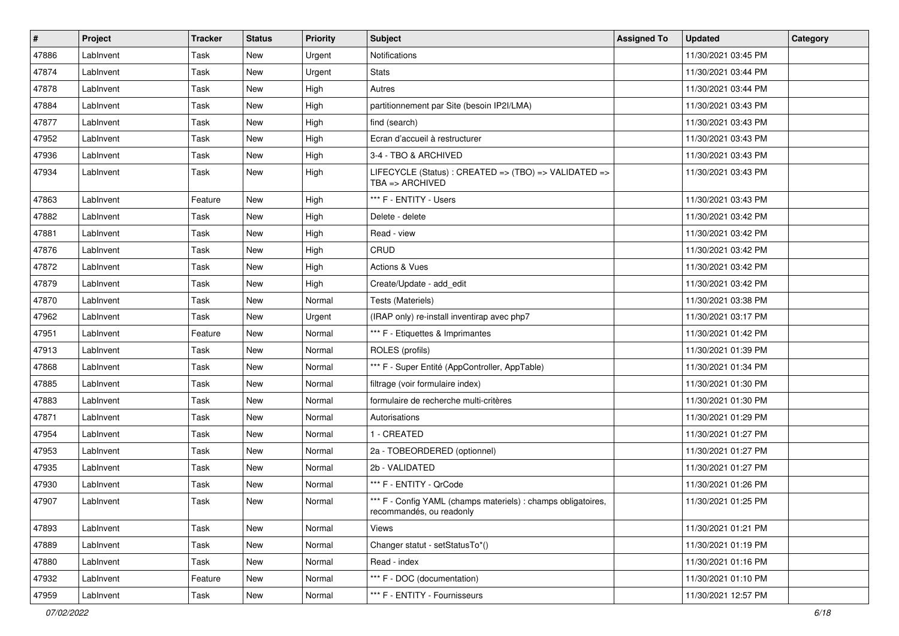| #     | Project   | <b>Tracker</b> | <b>Status</b> | <b>Priority</b> | <b>Subject</b>                                                                            | <b>Assigned To</b> | <b>Updated</b>      | Category |
|-------|-----------|----------------|---------------|-----------------|-------------------------------------------------------------------------------------------|--------------------|---------------------|----------|
| 47886 | LabInvent | Task           | New           | Urgent          | Notifications                                                                             |                    | 11/30/2021 03:45 PM |          |
| 47874 | LabInvent | Task           | <b>New</b>    | Urgent          | <b>Stats</b>                                                                              |                    | 11/30/2021 03:44 PM |          |
| 47878 | Lablnvent | Task           | New           | High            | Autres                                                                                    |                    | 11/30/2021 03:44 PM |          |
| 47884 | Lablnvent | Task           | New           | High            | partitionnement par Site (besoin IP2I/LMA)                                                |                    | 11/30/2021 03:43 PM |          |
| 47877 | Lablnvent | Task           | New           | High            | find (search)                                                                             |                    | 11/30/2021 03:43 PM |          |
| 47952 | LabInvent | Task           | New           | High            | Ecran d'accueil à restructurer                                                            |                    | 11/30/2021 03:43 PM |          |
| 47936 | LabInvent | Task           | New           | High            | 3-4 - TBO & ARCHIVED                                                                      |                    | 11/30/2021 03:43 PM |          |
| 47934 | Lablnvent | Task           | New           | High            | LIFECYCLE (Status) : CREATED => (TBO) => VALIDATED =><br>TBA $\Rightarrow$ ARCHIVED       |                    | 11/30/2021 03:43 PM |          |
| 47863 | Lablnvent | Feature        | <b>New</b>    | High            | *** F - ENTITY - Users                                                                    |                    | 11/30/2021 03:43 PM |          |
| 47882 | LabInvent | Task           | New           | High            | Delete - delete                                                                           |                    | 11/30/2021 03:42 PM |          |
| 47881 | LabInvent | Task           | New           | High            | Read - view                                                                               |                    | 11/30/2021 03:42 PM |          |
| 47876 | Lablnvent | Task           | <b>New</b>    | High            | CRUD                                                                                      |                    | 11/30/2021 03:42 PM |          |
| 47872 | LabInvent | Task           | New           | High            | Actions & Vues                                                                            |                    | 11/30/2021 03:42 PM |          |
| 47879 | LabInvent | Task           | New           | High            | Create/Update - add edit                                                                  |                    | 11/30/2021 03:42 PM |          |
| 47870 | Lablnvent | Task           | New           | Normal          | Tests (Materiels)                                                                         |                    | 11/30/2021 03:38 PM |          |
| 47962 | Lablnvent | Task           | New           | Urgent          | (IRAP only) re-install inventirap avec php7                                               |                    | 11/30/2021 03:17 PM |          |
| 47951 | Lablnvent | Feature        | <b>New</b>    | Normal          | *** F - Etiquettes & Imprimantes                                                          |                    | 11/30/2021 01:42 PM |          |
| 47913 | LabInvent | Task           | New           | Normal          | ROLES (profils)                                                                           |                    | 11/30/2021 01:39 PM |          |
| 47868 | LabInvent | Task           | <b>New</b>    | Normal          | *** F - Super Entité (AppController, AppTable)                                            |                    | 11/30/2021 01:34 PM |          |
| 47885 | Lablnvent | Task           | New           | Normal          | filtrage (voir formulaire index)                                                          |                    | 11/30/2021 01:30 PM |          |
| 47883 | Lablnvent | Task           | <b>New</b>    | Normal          | formulaire de recherche multi-critères                                                    |                    | 11/30/2021 01:30 PM |          |
| 47871 | Lablnvent | Task           | <b>New</b>    | Normal          | Autorisations                                                                             |                    | 11/30/2021 01:29 PM |          |
| 47954 | LabInvent | Task           | New           | Normal          | 1 - CREATED                                                                               |                    | 11/30/2021 01:27 PM |          |
| 47953 | Lablnvent | Task           | <b>New</b>    | Normal          | 2a - TOBEORDERED (optionnel)                                                              |                    | 11/30/2021 01:27 PM |          |
| 47935 | Lablnvent | Task           | <b>New</b>    | Normal          | 2b - VALIDATED                                                                            |                    | 11/30/2021 01:27 PM |          |
| 47930 | LabInvent | Task           | New           | Normal          | *** F - ENTITY - QrCode                                                                   |                    | 11/30/2021 01:26 PM |          |
| 47907 | LabInvent | Task           | New           | Normal          | *** F - Config YAML (champs materiels) : champs obligatoires,<br>recommandés, ou readonly |                    | 11/30/2021 01:25 PM |          |
| 47893 | LabInvent | Task           | New           | Normal          | Views                                                                                     |                    | 11/30/2021 01:21 PM |          |
| 47889 | LabInvent | Task           | New           | Normal          | Changer statut - setStatusTo*()                                                           |                    | 11/30/2021 01:19 PM |          |
| 47880 | LabInvent | Task           | New           | Normal          | Read - index                                                                              |                    | 11/30/2021 01:16 PM |          |
| 47932 | LabInvent | Feature        | New           | Normal          | *** F - DOC (documentation)                                                               |                    | 11/30/2021 01:10 PM |          |
| 47959 | Lablnvent | Task           | New           | Normal          | *** F - ENTITY - Fournisseurs                                                             |                    | 11/30/2021 12:57 PM |          |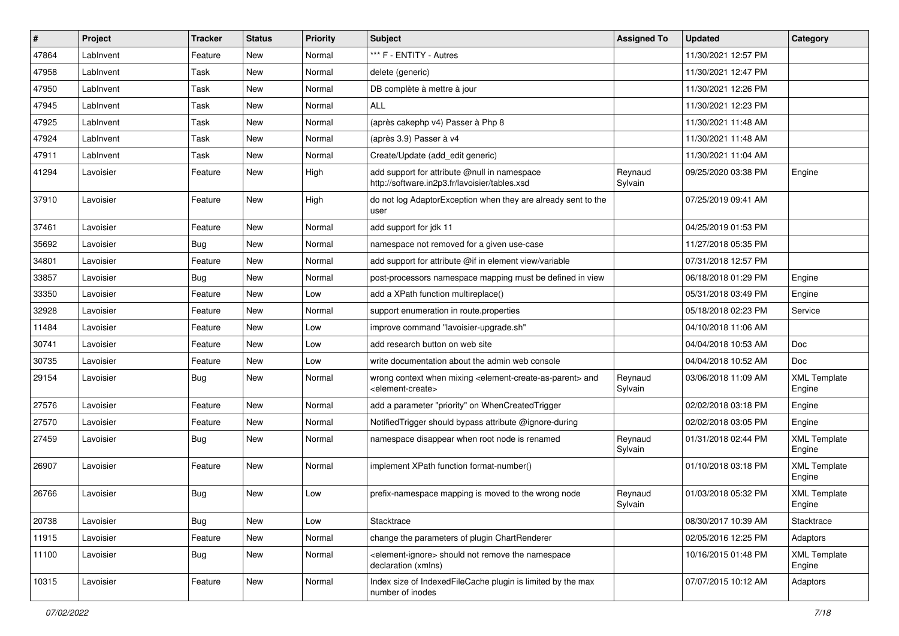| $\vert$ # | Project   | <b>Tracker</b> | <b>Status</b> | <b>Priority</b> | Subject                                                                                                                   | <b>Assigned To</b> | <b>Updated</b>      | Category                      |
|-----------|-----------|----------------|---------------|-----------------|---------------------------------------------------------------------------------------------------------------------------|--------------------|---------------------|-------------------------------|
| 47864     | LabInvent | Feature        | New           | Normal          | *** F - ENTITY - Autres                                                                                                   |                    | 11/30/2021 12:57 PM |                               |
| 47958     | LabInvent | Task           | <b>New</b>    | Normal          | delete (generic)                                                                                                          |                    | 11/30/2021 12:47 PM |                               |
| 47950     | LabInvent | Task           | New           | Normal          | DB complète à mettre à jour                                                                                               |                    | 11/30/2021 12:26 PM |                               |
| 47945     | LabInvent | Task           | New           | Normal          | <b>ALL</b>                                                                                                                |                    | 11/30/2021 12:23 PM |                               |
| 47925     | LabInvent | Task           | <b>New</b>    | Normal          | (après cakephp v4) Passer à Php 8                                                                                         |                    | 11/30/2021 11:48 AM |                               |
| 47924     | LabInvent | Task           | New           | Normal          | (après 3.9) Passer à v4                                                                                                   |                    | 11/30/2021 11:48 AM |                               |
| 47911     | LabInvent | Task           | <b>New</b>    | Normal          | Create/Update (add edit generic)                                                                                          |                    | 11/30/2021 11:04 AM |                               |
| 41294     | Lavoisier | Feature        | New           | High            | add support for attribute @null in namespace<br>http://software.in2p3.fr/lavoisier/tables.xsd                             | Reynaud<br>Sylvain | 09/25/2020 03:38 PM | Engine                        |
| 37910     | Lavoisier | Feature        | <b>New</b>    | High            | do not log AdaptorException when they are already sent to the<br>user                                                     |                    | 07/25/2019 09:41 AM |                               |
| 37461     | Lavoisier | Feature        | <b>New</b>    | Normal          | add support for jdk 11                                                                                                    |                    | 04/25/2019 01:53 PM |                               |
| 35692     | Lavoisier | Bug            | <b>New</b>    | Normal          | namespace not removed for a given use-case                                                                                |                    | 11/27/2018 05:35 PM |                               |
| 34801     | Lavoisier | Feature        | <b>New</b>    | Normal          | add support for attribute @if in element view/variable                                                                    |                    | 07/31/2018 12:57 PM |                               |
| 33857     | Lavoisier | Bug            | <b>New</b>    | Normal          | post-processors namespace mapping must be defined in view                                                                 |                    | 06/18/2018 01:29 PM | Engine                        |
| 33350     | Lavoisier | Feature        | <b>New</b>    | Low             | add a XPath function multireplace()                                                                                       |                    | 05/31/2018 03:49 PM | Engine                        |
| 32928     | Lavoisier | Feature        | New           | Normal          | support enumeration in route.properties                                                                                   |                    | 05/18/2018 02:23 PM | Service                       |
| 11484     | Lavoisier | Feature        | <b>New</b>    | Low             | improve command "lavoisier-upgrade.sh"                                                                                    |                    | 04/10/2018 11:06 AM |                               |
| 30741     | Lavoisier | Feature        | New           | Low             | add research button on web site                                                                                           |                    | 04/04/2018 10:53 AM | Doc                           |
| 30735     | Lavoisier | Feature        | New           | Low             | write documentation about the admin web console                                                                           |                    | 04/04/2018 10:52 AM | Doc                           |
| 29154     | Lavoisier | Bug            | New           | Normal          | wrong context when mixing <element-create-as-parent> and<br/><element-create></element-create></element-create-as-parent> | Reynaud<br>Sylvain | 03/06/2018 11:09 AM | <b>XML Template</b><br>Engine |
| 27576     | Lavoisier | Feature        | <b>New</b>    | Normal          | add a parameter "priority" on WhenCreatedTrigger                                                                          |                    | 02/02/2018 03:18 PM | Engine                        |
| 27570     | Lavoisier | Feature        | New           | Normal          | Notified Trigger should bypass attribute @ignore-during                                                                   |                    | 02/02/2018 03:05 PM | Engine                        |
| 27459     | Lavoisier | Bug            | New           | Normal          | namespace disappear when root node is renamed                                                                             | Reynaud<br>Sylvain | 01/31/2018 02:44 PM | <b>XML Template</b><br>Engine |
| 26907     | Lavoisier | Feature        | <b>New</b>    | Normal          | implement XPath function format-number()                                                                                  |                    | 01/10/2018 03:18 PM | <b>XML Template</b><br>Engine |
| 26766     | Lavoisier | <b>Bug</b>     | New           | Low             | prefix-namespace mapping is moved to the wrong node                                                                       | Reynaud<br>Sylvain | 01/03/2018 05:32 PM | <b>XML Template</b><br>Engine |
| 20738     | Lavoisier | <b>Bug</b>     | New           | Low             | Stacktrace                                                                                                                |                    | 08/30/2017 10:39 AM | Stacktrace                    |
| 11915     | Lavoisier | Feature        | New           | Normal          | change the parameters of plugin ChartRenderer                                                                             |                    | 02/05/2016 12:25 PM | Adaptors                      |
| 11100     | Lavoisier | Bug            | New           | Normal          | <element-ignore> should not remove the namespace<br/>declaration (xmlns)</element-ignore>                                 |                    | 10/16/2015 01:48 PM | <b>XML Template</b><br>Engine |
| 10315     | Lavoisier | Feature        | New           | Normal          | Index size of IndexedFileCache plugin is limited by the max<br>number of inodes                                           |                    | 07/07/2015 10:12 AM | Adaptors                      |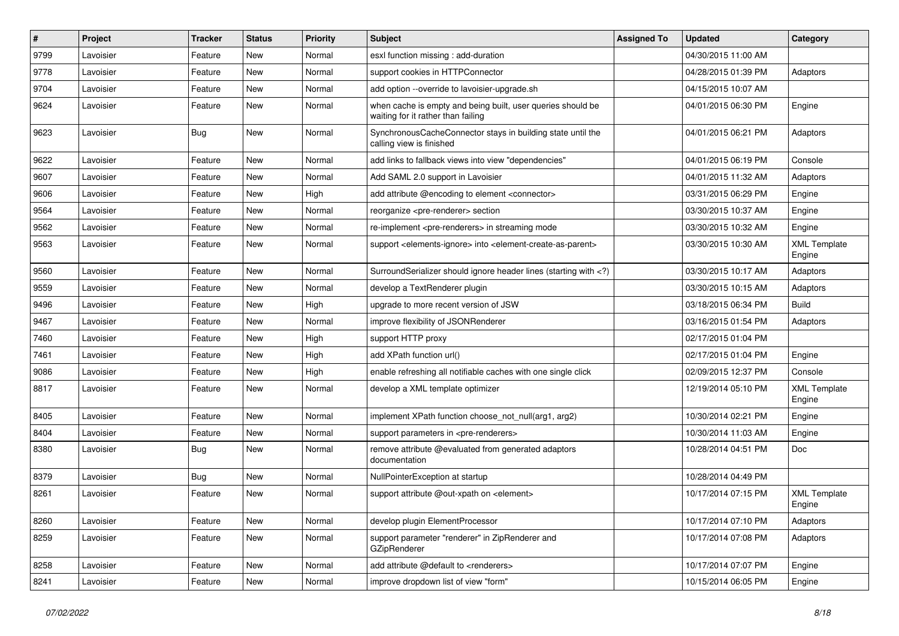| #    | Project   | <b>Tracker</b> | <b>Status</b> | <b>Priority</b> | <b>Subject</b>                                                                                                              | <b>Assigned To</b> | <b>Updated</b>      | Category                      |
|------|-----------|----------------|---------------|-----------------|-----------------------------------------------------------------------------------------------------------------------------|--------------------|---------------------|-------------------------------|
| 9799 | Lavoisier | Feature        | <b>New</b>    | Normal          | esxl function missing : add-duration                                                                                        |                    | 04/30/2015 11:00 AM |                               |
| 9778 | Lavoisier | Feature        | New           | Normal          | support cookies in HTTPConnector                                                                                            |                    | 04/28/2015 01:39 PM | Adaptors                      |
| 9704 | Lavoisier | Feature        | New           | Normal          | add option --override to lavoisier-upgrade.sh                                                                               |                    | 04/15/2015 10:07 AM |                               |
| 9624 | Lavoisier | Feature        | New           | Normal          | when cache is empty and being built, user queries should be<br>waiting for it rather than failing                           |                    | 04/01/2015 06:30 PM | Engine                        |
| 9623 | Lavoisier | Bug            | <b>New</b>    | Normal          | SynchronousCacheConnector stays in building state until the<br>calling view is finished                                     |                    | 04/01/2015 06:21 PM | Adaptors                      |
| 9622 | Lavoisier | Feature        | New           | Normal          | add links to fallback views into view "dependencies"                                                                        |                    | 04/01/2015 06:19 PM | Console                       |
| 9607 | Lavoisier | Feature        | New           | Normal          | Add SAML 2.0 support in Lavoisier                                                                                           |                    | 04/01/2015 11:32 AM | Adaptors                      |
| 9606 | Lavoisier | Feature        | New           | High            | add attribute @encoding to element <connector></connector>                                                                  |                    | 03/31/2015 06:29 PM | Engine                        |
| 9564 | Lavoisier | Feature        | New           | Normal          | reorganize <pre-renderer> section</pre-renderer>                                                                            |                    | 03/30/2015 10:37 AM | Engine                        |
| 9562 | Lavoisier | Feature        | <b>New</b>    | Normal          | re-implement <pre-renderers> in streaming mode</pre-renderers>                                                              |                    | 03/30/2015 10:32 AM | Engine                        |
| 9563 | Lavoisier | Feature        | <b>New</b>    | Normal          | support <elements-ignore> into <element-create-as-parent></element-create-as-parent></elements-ignore>                      |                    | 03/30/2015 10:30 AM | <b>XML Template</b><br>Engine |
| 9560 | Lavoisier | Feature        | <b>New</b>    | Normal          | SurroundSerializer should ignore header lines (starting with )</td <td></td> <td>03/30/2015 10:17 AM</td> <td>Adaptors</td> |                    | 03/30/2015 10:17 AM | Adaptors                      |
| 9559 | Lavoisier | Feature        | New           | Normal          | develop a TextRenderer plugin                                                                                               |                    | 03/30/2015 10:15 AM | Adaptors                      |
| 9496 | Lavoisier | Feature        | New           | High            | upgrade to more recent version of JSW                                                                                       |                    | 03/18/2015 06:34 PM | <b>Build</b>                  |
| 9467 | Lavoisier | Feature        | New           | Normal          | improve flexibility of JSONRenderer                                                                                         |                    | 03/16/2015 01:54 PM | Adaptors                      |
| 7460 | Lavoisier | Feature        | New           | High            | support HTTP proxy                                                                                                          |                    | 02/17/2015 01:04 PM |                               |
| 7461 | Lavoisier | Feature        | <b>New</b>    | High            | add XPath function url()                                                                                                    |                    | 02/17/2015 01:04 PM | Engine                        |
| 9086 | Lavoisier | Feature        | New           | High            | enable refreshing all notifiable caches with one single click                                                               |                    | 02/09/2015 12:37 PM | Console                       |
| 8817 | Lavoisier | Feature        | New           | Normal          | develop a XML template optimizer                                                                                            |                    | 12/19/2014 05:10 PM | <b>XML Template</b><br>Engine |
| 8405 | Lavoisier | Feature        | New           | Normal          | implement XPath function choose_not_null(arg1, arg2)                                                                        |                    | 10/30/2014 02:21 PM | Engine                        |
| 8404 | Lavoisier | Feature        | New           | Normal          | support parameters in <pre-renderers></pre-renderers>                                                                       |                    | 10/30/2014 11:03 AM | Engine                        |
| 8380 | Lavoisier | Bug            | <b>New</b>    | Normal          | remove attribute @evaluated from generated adaptors<br>documentation                                                        |                    | 10/28/2014 04:51 PM | Doc                           |
| 8379 | Lavoisier | Bug            | <b>New</b>    | Normal          | NullPointerException at startup                                                                                             |                    | 10/28/2014 04:49 PM |                               |
| 8261 | Lavoisier | Feature        | New           | Normal          | support attribute @out-xpath on <element></element>                                                                         |                    | 10/17/2014 07:15 PM | <b>XML Template</b><br>Engine |
| 8260 | Lavoisier | Feature        | New           | Normal          | develop plugin ElementProcessor                                                                                             |                    | 10/17/2014 07:10 PM | Adaptors                      |
| 8259 | Lavoisier | Feature        | New           | Normal          | support parameter "renderer" in ZipRenderer and<br>GZipRenderer                                                             |                    | 10/17/2014 07:08 PM | Adaptors                      |
| 8258 | Lavoisier | Feature        | New           | Normal          | add attribute @default to <renderers></renderers>                                                                           |                    | 10/17/2014 07:07 PM | Engine                        |
| 8241 | Lavoisier | Feature        | New           | Normal          | improve dropdown list of view "form"                                                                                        |                    | 10/15/2014 06:05 PM | Engine                        |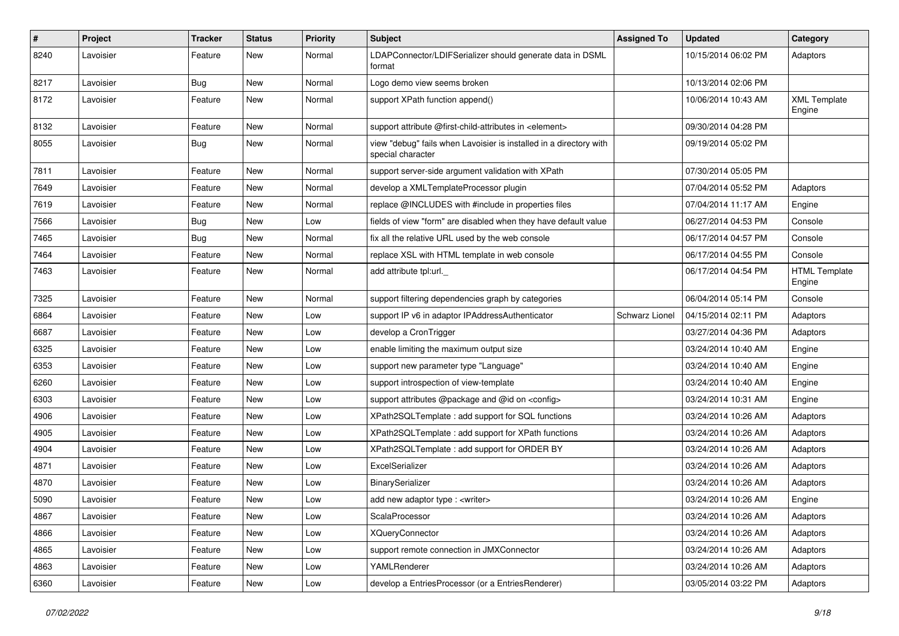| $\sharp$ | Project   | <b>Tracker</b> | <b>Status</b> | <b>Priority</b> | <b>Subject</b>                                                                          | <b>Assigned To</b> | <b>Updated</b>      | Category                       |
|----------|-----------|----------------|---------------|-----------------|-----------------------------------------------------------------------------------------|--------------------|---------------------|--------------------------------|
| 8240     | Lavoisier | Feature        | New           | Normal          | LDAPConnector/LDIFSerializer should generate data in DSML<br>format                     |                    | 10/15/2014 06:02 PM | Adaptors                       |
| 8217     | Lavoisier | <b>Bug</b>     | New           | Normal          | Logo demo view seems broken                                                             |                    | 10/13/2014 02:06 PM |                                |
| 8172     | Lavoisier | Feature        | New           | Normal          | support XPath function append()                                                         |                    | 10/06/2014 10:43 AM | <b>XML</b> Template<br>Engine  |
| 8132     | Lavoisier | Feature        | New           | Normal          | support attribute @first-child-attributes in <element></element>                        |                    | 09/30/2014 04:28 PM |                                |
| 8055     | Lavoisier | Bug            | New           | Normal          | view "debug" fails when Lavoisier is installed in a directory with<br>special character |                    | 09/19/2014 05:02 PM |                                |
| 7811     | Lavoisier | Feature        | <b>New</b>    | Normal          | support server-side argument validation with XPath                                      |                    | 07/30/2014 05:05 PM |                                |
| 7649     | Lavoisier | Feature        | <b>New</b>    | Normal          | develop a XMLTemplateProcessor plugin                                                   |                    | 07/04/2014 05:52 PM | Adaptors                       |
| 7619     | Lavoisier | Feature        | New           | Normal          | replace @INCLUDES with #include in properties files                                     |                    | 07/04/2014 11:17 AM | Engine                         |
| 7566     | Lavoisier | <b>Bug</b>     | New           | Low             | fields of view "form" are disabled when they have default value                         |                    | 06/27/2014 04:53 PM | Console                        |
| 7465     | Lavoisier | <b>Bug</b>     | <b>New</b>    | Normal          | fix all the relative URL used by the web console                                        |                    | 06/17/2014 04:57 PM | Console                        |
| 7464     | Lavoisier | Feature        | <b>New</b>    | Normal          | replace XSL with HTML template in web console                                           |                    | 06/17/2014 04:55 PM | Console                        |
| 7463     | Lavoisier | Feature        | New           | Normal          | add attribute tpl:url.                                                                  |                    | 06/17/2014 04:54 PM | <b>HTML Template</b><br>Engine |
| 7325     | Lavoisier | Feature        | <b>New</b>    | Normal          | support filtering dependencies graph by categories                                      |                    | 06/04/2014 05:14 PM | Console                        |
| 6864     | Lavoisier | Feature        | <b>New</b>    | Low             | support IP v6 in adaptor IPAddressAuthenticator                                         | Schwarz Lionel     | 04/15/2014 02:11 PM | Adaptors                       |
| 6687     | Lavoisier | Feature        | New           | Low             | develop a CronTrigger                                                                   |                    | 03/27/2014 04:36 PM | Adaptors                       |
| 6325     | Lavoisier | Feature        | New           | Low             | enable limiting the maximum output size                                                 |                    | 03/24/2014 10:40 AM | Engine                         |
| 6353     | Lavoisier | Feature        | New           | Low             | support new parameter type "Language"                                                   |                    | 03/24/2014 10:40 AM | Engine                         |
| 6260     | Lavoisier | Feature        | New           | Low             | support introspection of view-template                                                  |                    | 03/24/2014 10:40 AM | Engine                         |
| 6303     | Lavoisier | Feature        | <b>New</b>    | Low             | support attributes @package and @id on <config></config>                                |                    | 03/24/2014 10:31 AM | Engine                         |
| 4906     | Lavoisier | Feature        | New           | Low             | XPath2SQLTemplate : add support for SQL functions                                       |                    | 03/24/2014 10:26 AM | Adaptors                       |
| 4905     | Lavoisier | Feature        | New           | Low             | XPath2SQLTemplate : add support for XPath functions                                     |                    | 03/24/2014 10:26 AM | Adaptors                       |
| 4904     | Lavoisier | Feature        | <b>New</b>    | Low             | XPath2SQLTemplate : add support for ORDER BY                                            |                    | 03/24/2014 10:26 AM | Adaptors                       |
| 4871     | Lavoisier | Feature        | New           | Low             | ExcelSerializer                                                                         |                    | 03/24/2014 10:26 AM | Adaptors                       |
| 4870     | Lavoisier | Feature        | New           | Low             | BinarySerializer                                                                        |                    | 03/24/2014 10:26 AM | Adaptors                       |
| 5090     | Lavoisier | Feature        | New           | Low             | add new adaptor type : <writer></writer>                                                |                    | 03/24/2014 10:26 AM | Engine                         |
| 4867     | Lavoisier | Feature        | New           | Low             | ScalaProcessor                                                                          |                    | 03/24/2014 10:26 AM | Adaptors                       |
| 4866     | Lavoisier | Feature        | New           | Low             | <b>XQueryConnector</b>                                                                  |                    | 03/24/2014 10:26 AM | Adaptors                       |
| 4865     | Lavoisier | Feature        | New           | Low             | support remote connection in JMXConnector                                               |                    | 03/24/2014 10:26 AM | Adaptors                       |
| 4863     | Lavoisier | Feature        | New           | Low             | YAMLRenderer                                                                            |                    | 03/24/2014 10:26 AM | Adaptors                       |
| 6360     | Lavoisier | Feature        | New           | Low             | develop a EntriesProcessor (or a EntriesRenderer)                                       |                    | 03/05/2014 03:22 PM | Adaptors                       |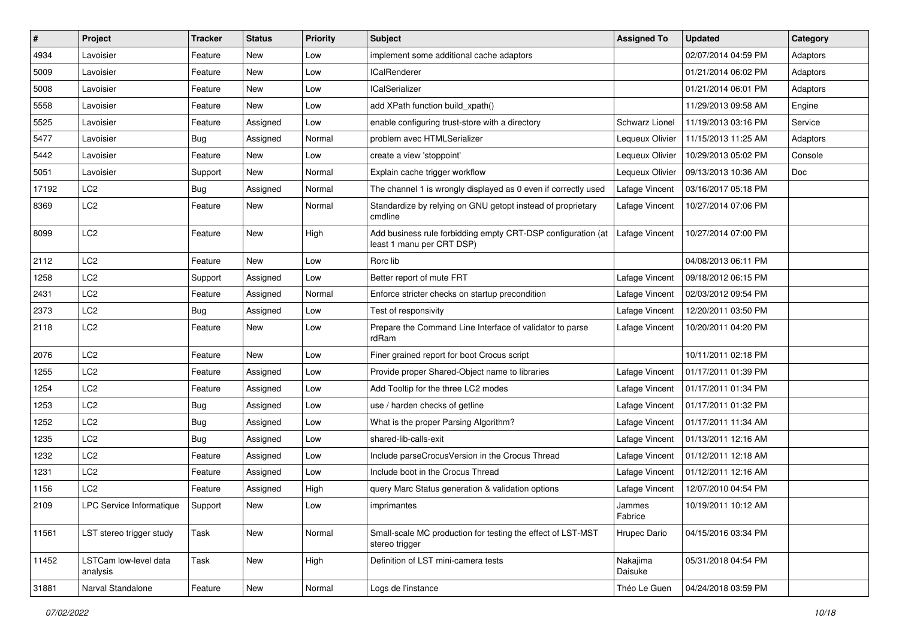| $\sharp$ | Project                           | <b>Tracker</b> | <b>Status</b> | <b>Priority</b> | <b>Subject</b>                                                                            | <b>Assigned To</b>    | <b>Updated</b>      | Category |
|----------|-----------------------------------|----------------|---------------|-----------------|-------------------------------------------------------------------------------------------|-----------------------|---------------------|----------|
| 4934     | Lavoisier                         | Feature        | New           | Low             | implement some additional cache adaptors                                                  |                       | 02/07/2014 04:59 PM | Adaptors |
| 5009     | Lavoisier                         | Feature        | <b>New</b>    | Low             | <b>ICalRenderer</b>                                                                       |                       | 01/21/2014 06:02 PM | Adaptors |
| 5008     | Lavoisier                         | Feature        | New           | LOW             | <b>ICalSerializer</b>                                                                     |                       | 01/21/2014 06:01 PM | Adaptors |
| 5558     | Lavoisier                         | Feature        | New           | Low             | add XPath function build xpath()                                                          |                       | 11/29/2013 09:58 AM | Engine   |
| 5525     | Lavoisier                         | Feature        | Assigned      | Low             | enable configuring trust-store with a directory                                           | <b>Schwarz Lionel</b> | 11/19/2013 03:16 PM | Service  |
| 5477     | Lavoisier                         | <b>Bug</b>     | Assigned      | Normal          | problem avec HTMLSerializer                                                               | Lequeux Olivier       | 11/15/2013 11:25 AM | Adaptors |
| 5442     | Lavoisier                         | Feature        | <b>New</b>    | LOW             | create a view 'stoppoint'                                                                 | Lequeux Olivier       | 10/29/2013 05:02 PM | Console  |
| 5051     | Lavoisier                         | Support        | New           | Normal          | Explain cache trigger workflow                                                            | Lequeux Olivier       | 09/13/2013 10:36 AM | Doc      |
| 17192    | LC <sub>2</sub>                   | <b>Bug</b>     | Assigned      | Normal          | The channel 1 is wrongly displayed as 0 even if correctly used                            | Lafage Vincent        | 03/16/2017 05:18 PM |          |
| 8369     | LC <sub>2</sub>                   | Feature        | <b>New</b>    | Normal          | Standardize by relying on GNU getopt instead of proprietary<br>cmdline                    | Lafage Vincent        | 10/27/2014 07:06 PM |          |
| 8099     | LC <sub>2</sub>                   | Feature        | New           | High            | Add business rule forbidding empty CRT-DSP configuration (at<br>least 1 manu per CRT DSP) | Lafage Vincent        | 10/27/2014 07:00 PM |          |
| 2112     | LC <sub>2</sub>                   | Feature        | New           | Low             | Rorc lib                                                                                  |                       | 04/08/2013 06:11 PM |          |
| 1258     | LC <sub>2</sub>                   | Support        | Assigned      | Low             | Better report of mute FRT                                                                 | Lafage Vincent        | 09/18/2012 06:15 PM |          |
| 2431     | LC <sub>2</sub>                   | Feature        | Assigned      | Normal          | Enforce stricter checks on startup precondition                                           | Lafage Vincent        | 02/03/2012 09:54 PM |          |
| 2373     | LC <sub>2</sub>                   | <b>Bug</b>     | Assigned      | Low             | Test of responsivity                                                                      | Lafage Vincent        | 12/20/2011 03:50 PM |          |
| 2118     | LC <sub>2</sub>                   | Feature        | <b>New</b>    | Low             | Prepare the Command Line Interface of validator to parse<br>rdRam                         | Lafage Vincent        | 10/20/2011 04:20 PM |          |
| 2076     | LC <sub>2</sub>                   | Feature        | <b>New</b>    | Low             | Finer grained report for boot Crocus script                                               |                       | 10/11/2011 02:18 PM |          |
| 1255     | LC <sub>2</sub>                   | Feature        | Assigned      | Low             | Provide proper Shared-Object name to libraries                                            | Lafage Vincent        | 01/17/2011 01:39 PM |          |
| 1254     | LC <sub>2</sub>                   | Feature        | Assigned      | Low             | Add Tooltip for the three LC2 modes                                                       | Lafage Vincent        | 01/17/2011 01:34 PM |          |
| 1253     | LC <sub>2</sub>                   | <b>Bug</b>     | Assigned      | Low             | use / harden checks of getline                                                            | Lafage Vincent        | 01/17/2011 01:32 PM |          |
| 1252     | LC <sub>2</sub>                   | <b>Bug</b>     | Assigned      | Low             | What is the proper Parsing Algorithm?                                                     | Lafage Vincent        | 01/17/2011 11:34 AM |          |
| 1235     | LC <sub>2</sub>                   | Bug            | Assigned      | Low             | shared-lib-calls-exit                                                                     | Lafage Vincent        | 01/13/2011 12:16 AM |          |
| 1232     | LC <sub>2</sub>                   | Feature        | Assigned      | Low             | Include parseCrocusVersion in the Crocus Thread                                           | Lafage Vincent        | 01/12/2011 12:18 AM |          |
| 1231     | LC <sub>2</sub>                   | Feature        | Assigned      | Low             | Include boot in the Crocus Thread                                                         | Lafage Vincent        | 01/12/2011 12:16 AM |          |
| 1156     | LC <sub>2</sub>                   | Feature        | Assigned      | High            | query Marc Status generation & validation options                                         | Lafage Vincent        | 12/07/2010 04:54 PM |          |
| 2109     | LPC Service Informatique          | Support        | New           | LOW             | imprimantes                                                                               | Jammes<br>Fabrice     | 10/19/2011 10:12 AM |          |
| 11561    | LST stereo trigger study          | Task           | New           | Normal          | Small-scale MC production for testing the effect of LST-MST<br>stereo trigger             | Hrupec Dario          | 04/15/2016 03:34 PM |          |
| 11452    | LSTCam low-level data<br>analysis | Task           | New           | High            | Definition of LST mini-camera tests                                                       | Nakajima<br>Daisuke   | 05/31/2018 04:54 PM |          |
| 31881    | Narval Standalone                 | Feature        | New           | Normal          | Logs de l'instance                                                                        | Théo Le Guen          | 04/24/2018 03:59 PM |          |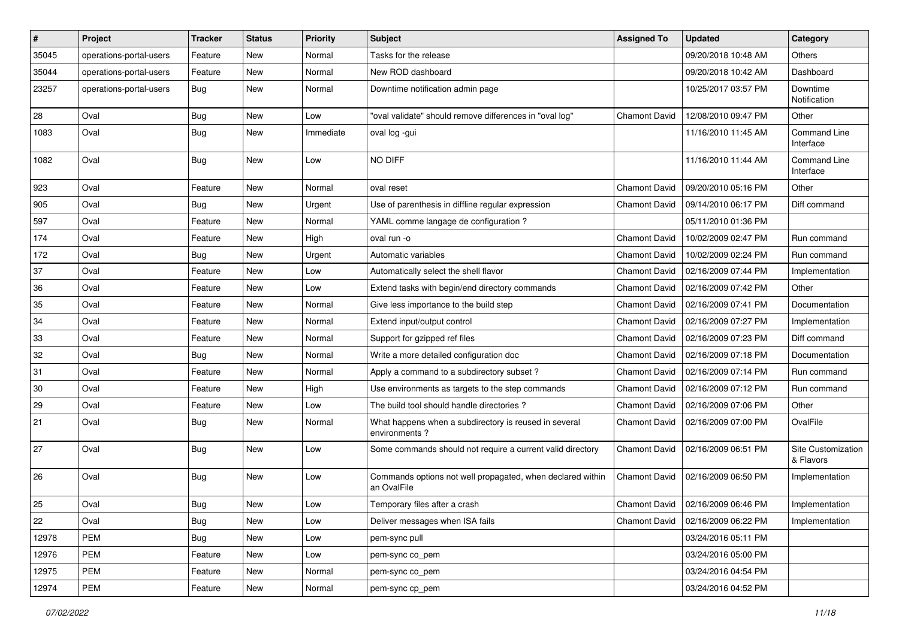| $\vert$ # | Project                 | <b>Tracker</b> | <b>Status</b> | <b>Priority</b> | <b>Subject</b>                                                            | <b>Assigned To</b>   | <b>Updated</b>                      | Category                        |
|-----------|-------------------------|----------------|---------------|-----------------|---------------------------------------------------------------------------|----------------------|-------------------------------------|---------------------------------|
| 35045     | operations-portal-users | Feature        | New           | Normal          | Tasks for the release                                                     |                      | 09/20/2018 10:48 AM                 | Others                          |
| 35044     | operations-portal-users | Feature        | New           | Normal          | New ROD dashboard                                                         |                      | 09/20/2018 10:42 AM                 | Dashboard                       |
| 23257     | operations-portal-users | Bug            | <b>New</b>    | Normal          | Downtime notification admin page                                          |                      | 10/25/2017 03:57 PM                 | Downtime<br>Notification        |
| 28        | Oval                    | Bug            | New           | LOW             | "oval validate" should remove differences in "oval log"                   | <b>Chamont David</b> | 12/08/2010 09:47 PM                 | Other                           |
| 1083      | Oval                    | Bug            | <b>New</b>    | Immediate       | oval log -gui                                                             |                      | 11/16/2010 11:45 AM                 | Command Line<br>Interface       |
| 1082      | Oval                    | Bug            | New           | Low             | NO DIFF                                                                   |                      | 11/16/2010 11:44 AM                 | Command Line<br>Interface       |
| 923       | Oval                    | Feature        | New           | Normal          | oval reset                                                                | <b>Chamont David</b> | 09/20/2010 05:16 PM                 | Other                           |
| 905       | Oval                    | Bug            | New           | Urgent          | Use of parenthesis in diffline regular expression                         | <b>Chamont David</b> | 09/14/2010 06:17 PM                 | Diff command                    |
| 597       | Oval                    | Feature        | <b>New</b>    | Normal          | YAML comme langage de configuration ?                                     |                      | 05/11/2010 01:36 PM                 |                                 |
| 174       | Oval                    | Feature        | New           | High            | oval run -o                                                               | <b>Chamont David</b> | 10/02/2009 02:47 PM                 | Run command                     |
| 172       | Oval                    | Bug            | New           | Urgent          | Automatic variables                                                       | <b>Chamont David</b> | 10/02/2009 02:24 PM                 | Run command                     |
| 37        | Oval                    | Feature        | New           | Low             | Automatically select the shell flavor                                     | <b>Chamont David</b> | 02/16/2009 07:44 PM                 | Implementation                  |
| 36        | Oval                    | Feature        | New           | LOW             | Extend tasks with begin/end directory commands                            | <b>Chamont David</b> | 02/16/2009 07:42 PM                 | Other                           |
| 35        | Oval                    | Feature        | <b>New</b>    | Normal          | Give less importance to the build step                                    | <b>Chamont David</b> | 02/16/2009 07:41 PM                 | Documentation                   |
| 34        | Oval                    | Feature        | New           | Normal          | Extend input/output control                                               | <b>Chamont David</b> | 02/16/2009 07:27 PM                 | Implementation                  |
| 33        | Oval                    | Feature        | New           | Normal          | Support for gzipped ref files                                             | <b>Chamont David</b> | 02/16/2009 07:23 PM                 | Diff command                    |
| 32        | Oval                    | Bug            | New           | Normal          | Write a more detailed configuration doc                                   | <b>Chamont David</b> | 02/16/2009 07:18 PM                 | Documentation                   |
| 31        | Oval                    | Feature        | New           | Normal          | Apply a command to a subdirectory subset?                                 | <b>Chamont David</b> | 02/16/2009 07:14 PM                 | Run command                     |
| 30        | Oval                    | Feature        | New           | High            | Use environments as targets to the step commands                          | <b>Chamont David</b> | 02/16/2009 07:12 PM                 | Run command                     |
| 29        | Oval                    | Feature        | New           | Low             | The build tool should handle directories?                                 | <b>Chamont David</b> | 02/16/2009 07:06 PM                 | Other                           |
| 21        | Oval                    | <b>Bug</b>     | New           | Normal          | What happens when a subdirectory is reused in several<br>environments?    | <b>Chamont David</b> | 02/16/2009 07:00 PM                 | OvalFile                        |
| 27        | Oval                    | Bug            | New           | LOW             | Some commands should not require a current valid directory                | <b>Chamont David</b> | 02/16/2009 06:51 PM                 | Site Customization<br>& Flavors |
| 26        | Oval                    | Bug            | <b>New</b>    | LOW             | Commands options not well propagated, when declared within<br>an OvalFile | <b>Chamont David</b> | 02/16/2009 06:50 PM                 | Implementation                  |
| 25        | Oval                    | <b>Bug</b>     | <b>New</b>    | LOW             | Temporary files after a crash                                             |                      | Chamont David   02/16/2009 06:46 PM | Implementation                  |
| 22        | Oval                    | <b>Bug</b>     | New           | Low             | Deliver messages when ISA fails                                           | <b>Chamont David</b> | 02/16/2009 06:22 PM                 | Implementation                  |
| 12978     | PEM                     | <b>Bug</b>     | New           | Low             | pem-sync pull                                                             |                      | 03/24/2016 05:11 PM                 |                                 |
| 12976     | PEM                     | Feature        | New           | Low             | pem-sync co_pem                                                           |                      | 03/24/2016 05:00 PM                 |                                 |
| 12975     | PEM                     | Feature        | New           | Normal          | pem-sync co_pem                                                           |                      | 03/24/2016 04:54 PM                 |                                 |
| 12974     | PEM                     | Feature        | New           | Normal          | pem-sync cp_pem                                                           |                      | 03/24/2016 04:52 PM                 |                                 |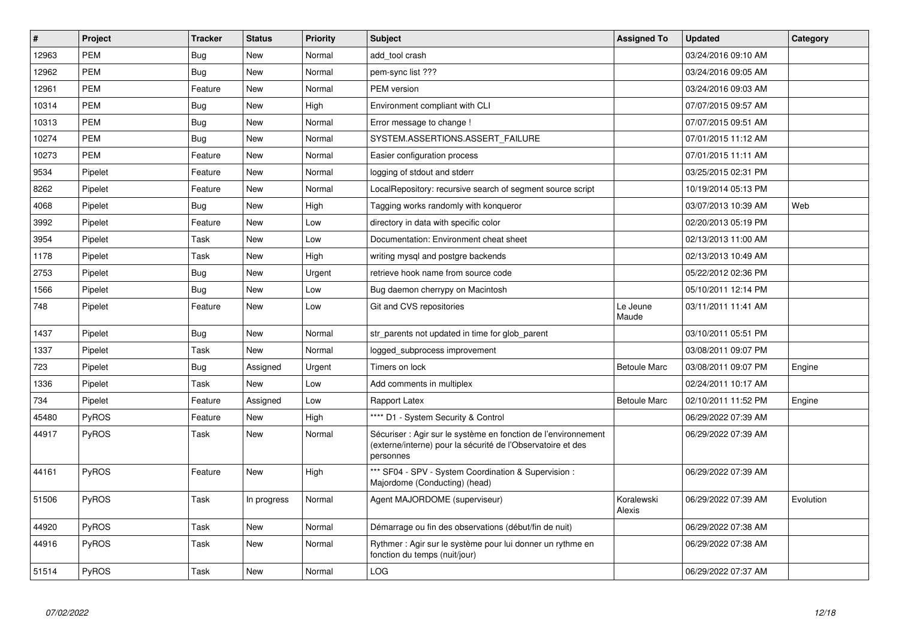| $\vert$ # | Project      | <b>Tracker</b> | <b>Status</b> | <b>Priority</b> | <b>Subject</b>                                                                                                                             | <b>Assigned To</b>   | <b>Updated</b>      | Category  |
|-----------|--------------|----------------|---------------|-----------------|--------------------------------------------------------------------------------------------------------------------------------------------|----------------------|---------------------|-----------|
| 12963     | <b>PEM</b>   | <b>Bug</b>     | <b>New</b>    | Normal          | add tool crash                                                                                                                             |                      | 03/24/2016 09:10 AM |           |
| 12962     | PEM          | Bug            | <b>New</b>    | Normal          | pem-sync list ???                                                                                                                          |                      | 03/24/2016 09:05 AM |           |
| 12961     | <b>PEM</b>   | Feature        | <b>New</b>    | Normal          | PEM version                                                                                                                                |                      | 03/24/2016 09:03 AM |           |
| 10314     | <b>PEM</b>   | <b>Bug</b>     | <b>New</b>    | High            | Environment compliant with CLI                                                                                                             |                      | 07/07/2015 09:57 AM |           |
| 10313     | <b>PEM</b>   | <b>Bug</b>     | <b>New</b>    | Normal          | Error message to change !                                                                                                                  |                      | 07/07/2015 09:51 AM |           |
| 10274     | <b>PEM</b>   | <b>Bug</b>     | New           | Normal          | SYSTEM.ASSERTIONS.ASSERT_FAILURE                                                                                                           |                      | 07/01/2015 11:12 AM |           |
| 10273     | <b>PEM</b>   | Feature        | New           | Normal          | Easier configuration process                                                                                                               |                      | 07/01/2015 11:11 AM |           |
| 9534      | Pipelet      | Feature        | <b>New</b>    | Normal          | logging of stdout and stderr                                                                                                               |                      | 03/25/2015 02:31 PM |           |
| 8262      | Pipelet      | Feature        | <b>New</b>    | Normal          | LocalRepository: recursive search of segment source script                                                                                 |                      | 10/19/2014 05:13 PM |           |
| 4068      | Pipelet      | Bug            | <b>New</b>    | High            | Tagging works randomly with konqueror                                                                                                      |                      | 03/07/2013 10:39 AM | Web       |
| 3992      | Pipelet      | Feature        | New           | Low             | directory in data with specific color                                                                                                      |                      | 02/20/2013 05:19 PM |           |
| 3954      | Pipelet      | Task           | <b>New</b>    | Low             | Documentation: Environment cheat sheet                                                                                                     |                      | 02/13/2013 11:00 AM |           |
| 1178      | Pipelet      | Task           | New           | High            | writing mysql and postgre backends                                                                                                         |                      | 02/13/2013 10:49 AM |           |
| 2753      | Pipelet      | <b>Bug</b>     | <b>New</b>    | Urgent          | retrieve hook name from source code                                                                                                        |                      | 05/22/2012 02:36 PM |           |
| 1566      | Pipelet      | <b>Bug</b>     | <b>New</b>    | Low             | Bug daemon cherrypy on Macintosh                                                                                                           |                      | 05/10/2011 12:14 PM |           |
| 748       | Pipelet      | Feature        | <b>New</b>    | Low             | Git and CVS repositories                                                                                                                   | Le Jeune<br>Maude    | 03/11/2011 11:41 AM |           |
| 1437      | Pipelet      | <b>Bug</b>     | <b>New</b>    | Normal          | str_parents not updated in time for glob_parent                                                                                            |                      | 03/10/2011 05:51 PM |           |
| 1337      | Pipelet      | Task           | <b>New</b>    | Normal          | logged subprocess improvement                                                                                                              |                      | 03/08/2011 09:07 PM |           |
| 723       | Pipelet      | <b>Bug</b>     | Assigned      | Urgent          | Timers on lock                                                                                                                             | <b>Betoule Marc</b>  | 03/08/2011 09:07 PM | Engine    |
| 1336      | Pipelet      | Task           | New           | Low             | Add comments in multiplex                                                                                                                  |                      | 02/24/2011 10:17 AM |           |
| 734       | Pipelet      | Feature        | Assigned      | Low             | Rapport Latex                                                                                                                              | <b>Betoule Marc</b>  | 02/10/2011 11:52 PM | Engine    |
| 45480     | <b>PyROS</b> | Feature        | New           | High            | **** D1 - System Security & Control                                                                                                        |                      | 06/29/2022 07:39 AM |           |
| 44917     | <b>PyROS</b> | Task           | <b>New</b>    | Normal          | Sécuriser : Agir sur le système en fonction de l'environnement<br>(externe/interne) pour la sécurité de l'Observatoire et des<br>personnes |                      | 06/29/2022 07:39 AM |           |
| 44161     | <b>PyROS</b> | Feature        | <b>New</b>    | High            | *** SF04 - SPV - System Coordination & Supervision :<br>Majordome (Conducting) (head)                                                      |                      | 06/29/2022 07:39 AM |           |
| 51506     | PyROS        | Task           | In progress   | Normal          | Agent MAJORDOME (superviseur)                                                                                                              | Koralewski<br>Alexis | 06/29/2022 07:39 AM | Evolution |
| 44920     | PyROS        | Task           | <b>New</b>    | Normal          | Démarrage ou fin des observations (début/fin de nuit)                                                                                      |                      | 06/29/2022 07:38 AM |           |
| 44916     | <b>PyROS</b> | Task           | <b>New</b>    | Normal          | Rythmer : Agir sur le système pour lui donner un rythme en<br>fonction du temps (nuit/jour)                                                |                      | 06/29/2022 07:38 AM |           |
| 51514     | PyROS        | Task           | <b>New</b>    | Normal          | LOG                                                                                                                                        |                      | 06/29/2022 07:37 AM |           |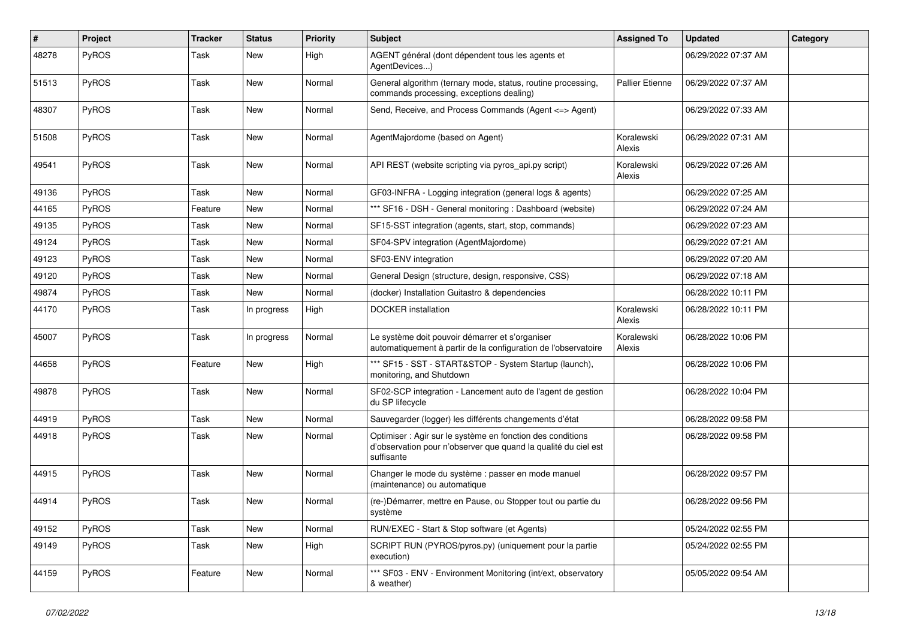| #     | Project      | <b>Tracker</b> | <b>Status</b> | <b>Priority</b> | Subject                                                                                                                                    | <b>Assigned To</b>     | <b>Updated</b>      | Category |
|-------|--------------|----------------|---------------|-----------------|--------------------------------------------------------------------------------------------------------------------------------------------|------------------------|---------------------|----------|
| 48278 | <b>PyROS</b> | Task           | New           | High            | AGENT général (dont dépendent tous les agents et<br>AgentDevices)                                                                          |                        | 06/29/2022 07:37 AM |          |
| 51513 | <b>PyROS</b> | Task           | <b>New</b>    | Normal          | General algorithm (ternary mode, status, routine processing,<br>commands processing, exceptions dealing)                                   | <b>Pallier Etienne</b> | 06/29/2022 07:37 AM |          |
| 48307 | <b>PyROS</b> | Task           | <b>New</b>    | Normal          | Send, Receive, and Process Commands (Agent <= > Agent)                                                                                     |                        | 06/29/2022 07:33 AM |          |
| 51508 | <b>PyROS</b> | Task           | <b>New</b>    | Normal          | AgentMajordome (based on Agent)                                                                                                            | Koralewski<br>Alexis   | 06/29/2022 07:31 AM |          |
| 49541 | PyROS        | Task           | <b>New</b>    | Normal          | API REST (website scripting via pyros_api.py script)                                                                                       | Koralewski<br>Alexis   | 06/29/2022 07:26 AM |          |
| 49136 | <b>PyROS</b> | Task           | New           | Normal          | GF03-INFRA - Logging integration (general logs & agents)                                                                                   |                        | 06/29/2022 07:25 AM |          |
| 44165 | <b>PyROS</b> | Feature        | <b>New</b>    | Normal          | *** SF16 - DSH - General monitoring : Dashboard (website)                                                                                  |                        | 06/29/2022 07:24 AM |          |
| 49135 | <b>PyROS</b> | Task           | <b>New</b>    | Normal          | SF15-SST integration (agents, start, stop, commands)                                                                                       |                        | 06/29/2022 07:23 AM |          |
| 49124 | <b>PyROS</b> | Task           | <b>New</b>    | Normal          | SF04-SPV integration (AgentMajordome)                                                                                                      |                        | 06/29/2022 07:21 AM |          |
| 49123 | <b>PyROS</b> | Task           | <b>New</b>    | Normal          | SF03-ENV integration                                                                                                                       |                        | 06/29/2022 07:20 AM |          |
| 49120 | <b>PyROS</b> | Task           | <b>New</b>    | Normal          | General Design (structure, design, responsive, CSS)                                                                                        |                        | 06/29/2022 07:18 AM |          |
| 49874 | <b>PyROS</b> | Task           | New           | Normal          | (docker) Installation Guitastro & dependencies                                                                                             |                        | 06/28/2022 10:11 PM |          |
| 44170 | PyROS        | Task           | In progress   | High            | <b>DOCKER</b> installation                                                                                                                 | Koralewski<br>Alexis   | 06/28/2022 10:11 PM |          |
| 45007 | <b>PyROS</b> | Task           | In progress   | Normal          | Le système doit pouvoir démarrer et s'organiser<br>automatiquement à partir de la configuration de l'observatoire                          | Koralewski<br>Alexis   | 06/28/2022 10:06 PM |          |
| 44658 | <b>PyROS</b> | Feature        | <b>New</b>    | High            | *** SF15 - SST - START&STOP - System Startup (launch),<br>monitoring, and Shutdown                                                         |                        | 06/28/2022 10:06 PM |          |
| 49878 | <b>PyROS</b> | Task           | New           | Normal          | SF02-SCP integration - Lancement auto de l'agent de gestion<br>du SP lifecycle                                                             |                        | 06/28/2022 10:04 PM |          |
| 44919 | PyROS        | Task           | <b>New</b>    | Normal          | Sauvegarder (logger) les différents changements d'état                                                                                     |                        | 06/28/2022 09:58 PM |          |
| 44918 | <b>PyROS</b> | Task           | <b>New</b>    | Normal          | Optimiser : Agir sur le système en fonction des conditions<br>d'observation pour n'observer que quand la qualité du ciel est<br>suffisante |                        | 06/28/2022 09:58 PM |          |
| 44915 | PyROS        | Task           | New           | Normal          | Changer le mode du système : passer en mode manuel<br>(maintenance) ou automatique                                                         |                        | 06/28/2022 09:57 PM |          |
| 44914 | <b>PyROS</b> | Task           | <b>New</b>    | Normal          | (re-)Démarrer, mettre en Pause, ou Stopper tout ou partie du<br>système                                                                    |                        | 06/28/2022 09:56 PM |          |
| 49152 | PyROS        | Task           | <b>New</b>    | Normal          | RUN/EXEC - Start & Stop software (et Agents)                                                                                               |                        | 05/24/2022 02:55 PM |          |
| 49149 | <b>PyROS</b> | Task           | New           | High            | SCRIPT RUN (PYROS/pyros.py) (uniquement pour la partie<br>execution)                                                                       |                        | 05/24/2022 02:55 PM |          |
| 44159 | PyROS        | Feature        | New           | Normal          | *** SF03 - ENV - Environment Monitoring (int/ext, observatory<br>& weather)                                                                |                        | 05/05/2022 09:54 AM |          |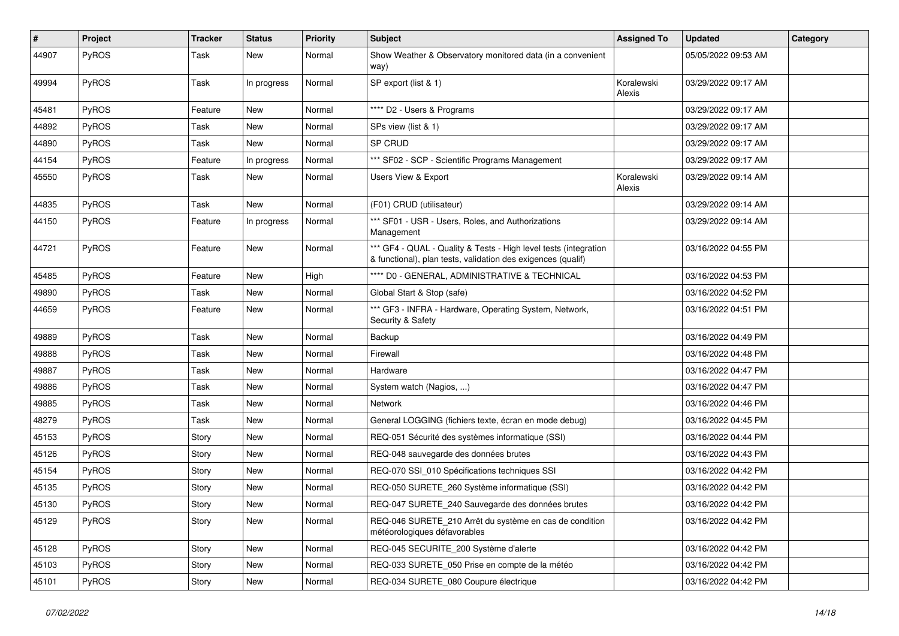| $\sharp$ | Project      | <b>Tracker</b> | <b>Status</b> | <b>Priority</b> | <b>Subject</b>                                                                                                                   | <b>Assigned To</b>   | <b>Updated</b>      | Category |
|----------|--------------|----------------|---------------|-----------------|----------------------------------------------------------------------------------------------------------------------------------|----------------------|---------------------|----------|
| 44907    | PyROS        | Task           | New           | Normal          | Show Weather & Observatory monitored data (in a convenient<br>way)                                                               |                      | 05/05/2022 09:53 AM |          |
| 49994    | PyROS        | Task           | In progress   | Normal          | SP export (list & 1)                                                                                                             | Koralewski<br>Alexis | 03/29/2022 09:17 AM |          |
| 45481    | PyROS        | Feature        | <b>New</b>    | Normal          | **** D2 - Users & Programs                                                                                                       |                      | 03/29/2022 09:17 AM |          |
| 44892    | PyROS        | Task           | New           | Normal          | SPs view (list & 1)                                                                                                              |                      | 03/29/2022 09:17 AM |          |
| 44890    | PyROS        | Task           | <b>New</b>    | Normal          | SP CRUD                                                                                                                          |                      | 03/29/2022 09:17 AM |          |
| 44154    | PyROS        | Feature        | In progress   | Normal          | *** SF02 - SCP - Scientific Programs Management                                                                                  |                      | 03/29/2022 09:17 AM |          |
| 45550    | PyROS        | Task           | New           | Normal          | Users View & Export                                                                                                              | Koralewski<br>Alexis | 03/29/2022 09:14 AM |          |
| 44835    | PyROS        | Task           | <b>New</b>    | Normal          | (F01) CRUD (utilisateur)                                                                                                         |                      | 03/29/2022 09:14 AM |          |
| 44150    | PyROS        | Feature        | In progress   | Normal          | *** SF01 - USR - Users, Roles, and Authorizations<br>Management                                                                  |                      | 03/29/2022 09:14 AM |          |
| 44721    | PyROS        | Feature        | New           | Normal          | *** GF4 - QUAL - Quality & Tests - High level tests (integration<br>& functional), plan tests, validation des exigences (qualif) |                      | 03/16/2022 04:55 PM |          |
| 45485    | PyROS        | Feature        | New           | High            | **** D0 - GENERAL, ADMINISTRATIVE & TECHNICAL                                                                                    |                      | 03/16/2022 04:53 PM |          |
| 49890    | PyROS        | Task           | New           | Normal          | Global Start & Stop (safe)                                                                                                       |                      | 03/16/2022 04:52 PM |          |
| 44659    | PyROS        | Feature        | <b>New</b>    | Normal          | *** GF3 - INFRA - Hardware, Operating System, Network,<br>Security & Safety                                                      |                      | 03/16/2022 04:51 PM |          |
| 49889    | PyROS        | Task           | <b>New</b>    | Normal          | Backup                                                                                                                           |                      | 03/16/2022 04:49 PM |          |
| 49888    | PyROS        | Task           | <b>New</b>    | Normal          | Firewall                                                                                                                         |                      | 03/16/2022 04:48 PM |          |
| 49887    | <b>PyROS</b> | Task           | <b>New</b>    | Normal          | Hardware                                                                                                                         |                      | 03/16/2022 04:47 PM |          |
| 49886    | PyROS        | Task           | <b>New</b>    | Normal          | System watch (Nagios, )                                                                                                          |                      | 03/16/2022 04:47 PM |          |
| 49885    | PyROS        | Task           | New           | Normal          | Network                                                                                                                          |                      | 03/16/2022 04:46 PM |          |
| 48279    | PyROS        | Task           | New           | Normal          | General LOGGING (fichiers texte, écran en mode debug)                                                                            |                      | 03/16/2022 04:45 PM |          |
| 45153    | PyROS        | Story          | <b>New</b>    | Normal          | REQ-051 Sécurité des systèmes informatique (SSI)                                                                                 |                      | 03/16/2022 04:44 PM |          |
| 45126    | <b>PyROS</b> | Story          | New           | Normal          | REQ-048 sauvegarde des données brutes                                                                                            |                      | 03/16/2022 04:43 PM |          |
| 45154    | PyROS        | Story          | New           | Normal          | REQ-070 SSI 010 Spécifications techniques SSI                                                                                    |                      | 03/16/2022 04:42 PM |          |
| 45135    | PyROS        | Story          | New           | Normal          | REQ-050 SURETE 260 Système informatique (SSI)                                                                                    |                      | 03/16/2022 04:42 PM |          |
| 45130    | PyROS        | Story          | New           | Normal          | REQ-047 SURETE 240 Sauvegarde des données brutes                                                                                 |                      | 03/16/2022 04:42 PM |          |
| 45129    | PyROS        | Story          | New           | Normal          | REQ-046 SURETE_210 Arrêt du système en cas de condition<br>météorologiques défavorables                                          |                      | 03/16/2022 04:42 PM |          |
| 45128    | PyROS        | Story          | New           | Normal          | REQ-045 SECURITE_200 Système d'alerte                                                                                            |                      | 03/16/2022 04:42 PM |          |
| 45103    | PyROS        | Story          | New           | Normal          | REQ-033 SURETE_050 Prise en compte de la météo                                                                                   |                      | 03/16/2022 04:42 PM |          |
| 45101    | PyROS        | Story          | New           | Normal          | REQ-034 SURETE 080 Coupure électrique                                                                                            |                      | 03/16/2022 04:42 PM |          |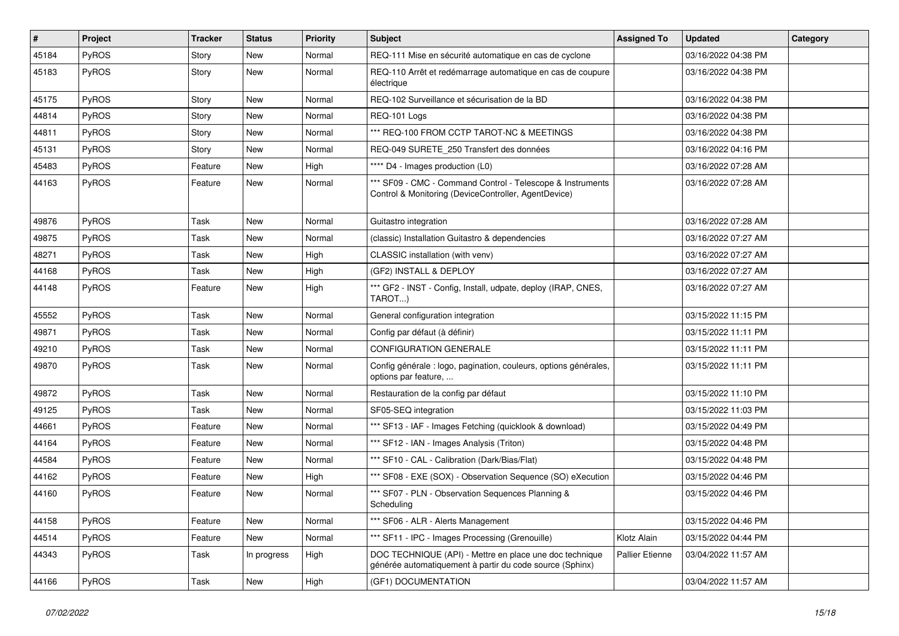| $\vert$ # | Project      | <b>Tracker</b> | <b>Status</b> | <b>Priority</b> | <b>Subject</b>                                                                                                      | <b>Assigned To</b> | <b>Updated</b>      | <b>Category</b> |
|-----------|--------------|----------------|---------------|-----------------|---------------------------------------------------------------------------------------------------------------------|--------------------|---------------------|-----------------|
| 45184     | PyROS        | Story          | <b>New</b>    | Normal          | REQ-111 Mise en sécurité automatique en cas de cyclone                                                              |                    | 03/16/2022 04:38 PM |                 |
| 45183     | PyROS        | Story          | New           | Normal          | REQ-110 Arrêt et redémarrage automatique en cas de coupure<br>électrique                                            |                    | 03/16/2022 04:38 PM |                 |
| 45175     | PyROS        | Story          | <b>New</b>    | Normal          | REQ-102 Surveillance et sécurisation de la BD                                                                       |                    | 03/16/2022 04:38 PM |                 |
| 44814     | PyROS        | Story          | New           | Normal          | REQ-101 Logs                                                                                                        |                    | 03/16/2022 04:38 PM |                 |
| 44811     | PyROS        | Story          | New           | Normal          | *** REQ-100 FROM CCTP TAROT-NC & MEETINGS                                                                           |                    | 03/16/2022 04:38 PM |                 |
| 45131     | PyROS        | Story          | <b>New</b>    | Normal          | REQ-049 SURETE 250 Transfert des données                                                                            |                    | 03/16/2022 04:16 PM |                 |
| 45483     | PyROS        | Feature        | New           | High            | **** D4 - Images production (L0)                                                                                    |                    | 03/16/2022 07:28 AM |                 |
| 44163     | PyROS        | Feature        | New           | Normal          | *** SF09 - CMC - Command Control - Telescope & Instruments<br>Control & Monitoring (DeviceController, AgentDevice)  |                    | 03/16/2022 07:28 AM |                 |
| 49876     | PyROS        | Task           | <b>New</b>    | Normal          | Guitastro integration                                                                                               |                    | 03/16/2022 07:28 AM |                 |
| 49875     | PyROS        | Task           | New           | Normal          | (classic) Installation Guitastro & dependencies                                                                     |                    | 03/16/2022 07:27 AM |                 |
| 48271     | PyROS        | Task           | New           | High            | CLASSIC installation (with venv)                                                                                    |                    | 03/16/2022 07:27 AM |                 |
| 44168     | PyROS        | Task           | <b>New</b>    | High            | (GF2) INSTALL & DEPLOY                                                                                              |                    | 03/16/2022 07:27 AM |                 |
| 44148     | <b>PyROS</b> | Feature        | New           | High            | *** GF2 - INST - Config, Install, udpate, deploy (IRAP, CNES,<br>TAROT)                                             |                    | 03/16/2022 07:27 AM |                 |
| 45552     | PyROS        | Task           | <b>New</b>    | Normal          | General configuration integration                                                                                   |                    | 03/15/2022 11:15 PM |                 |
| 49871     | PyROS        | Task           | <b>New</b>    | Normal          | Config par défaut (à définir)                                                                                       |                    | 03/15/2022 11:11 PM |                 |
| 49210     | PyROS        | Task           | <b>New</b>    | Normal          | <b>CONFIGURATION GENERALE</b>                                                                                       |                    | 03/15/2022 11:11 PM |                 |
| 49870     | PyROS        | Task           | <b>New</b>    | Normal          | Config générale : logo, pagination, couleurs, options générales,<br>options par feature,                            |                    | 03/15/2022 11:11 PM |                 |
| 49872     | PyROS        | Task           | New           | Normal          | Restauration de la config par défaut                                                                                |                    | 03/15/2022 11:10 PM |                 |
| 49125     | PyROS        | Task           | New           | Normal          | SF05-SEQ integration                                                                                                |                    | 03/15/2022 11:03 PM |                 |
| 44661     | PyROS        | Feature        | <b>New</b>    | Normal          | *** SF13 - IAF - Images Fetching (quicklook & download)                                                             |                    | 03/15/2022 04:49 PM |                 |
| 44164     | PyROS        | Feature        | <b>New</b>    | Normal          | *** SF12 - IAN - Images Analysis (Triton)                                                                           |                    | 03/15/2022 04:48 PM |                 |
| 44584     | <b>PyROS</b> | Feature        | New           | Normal          | *** SF10 - CAL - Calibration (Dark/Bias/Flat)                                                                       |                    | 03/15/2022 04:48 PM |                 |
| 44162     | PyROS        | Feature        | New           | High            | *** SF08 - EXE (SOX) - Observation Sequence (SO) eXecution                                                          |                    | 03/15/2022 04:46 PM |                 |
| 44160     | PyROS        | Feature        | <b>New</b>    | Normal          | *** SF07 - PLN - Observation Sequences Planning &<br>Scheduling                                                     |                    | 03/15/2022 04:46 PM |                 |
| 44158     | PyROS        | Feature        | New           | Normal          | *** SF06 - ALR - Alerts Management                                                                                  |                    | 03/15/2022 04:46 PM |                 |
| 44514     | PyROS        | Feature        | New           | Normal          | *** SF11 - IPC - Images Processing (Grenouille)                                                                     | Klotz Alain        | 03/15/2022 04:44 PM |                 |
| 44343     | PyROS        | Task           | In progress   | High            | DOC TECHNIQUE (API) - Mettre en place une doc technique<br>générée automatiquement à partir du code source (Sphinx) | Pallier Etienne    | 03/04/2022 11:57 AM |                 |
| 44166     | PyROS        | Task           | New           | High            | (GF1) DOCUMENTATION                                                                                                 |                    | 03/04/2022 11:57 AM |                 |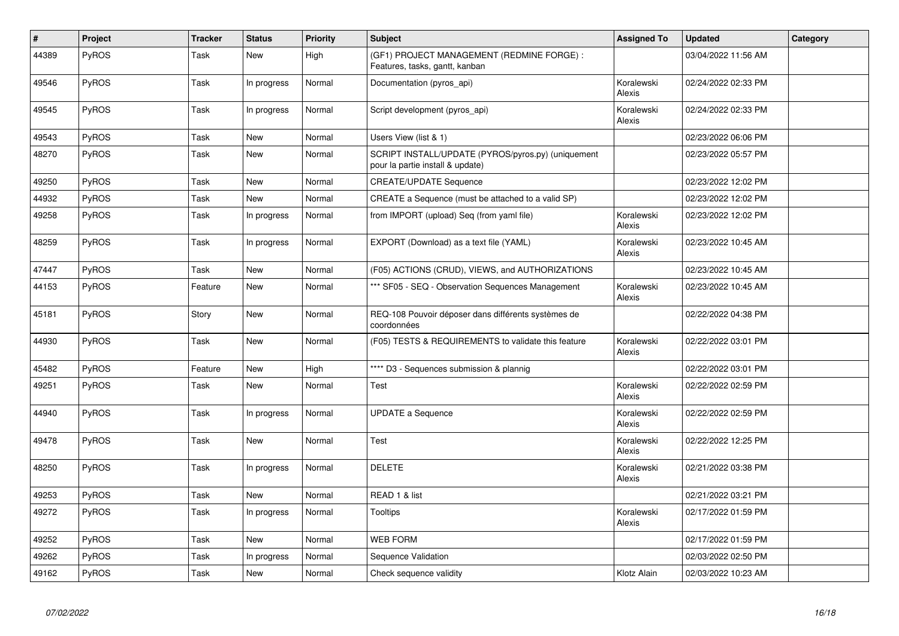| #     | Project      | <b>Tracker</b> | <b>Status</b> | <b>Priority</b> | <b>Subject</b>                                                                         | <b>Assigned To</b>          | <b>Updated</b>      | Category |
|-------|--------------|----------------|---------------|-----------------|----------------------------------------------------------------------------------------|-----------------------------|---------------------|----------|
| 44389 | PyROS        | Task           | New           | High            | (GF1) PROJECT MANAGEMENT (REDMINE FORGE) :<br>Features, tasks, gantt, kanban           |                             | 03/04/2022 11:56 AM |          |
| 49546 | PyROS        | Task           | In progress   | Normal          | Documentation (pyros api)                                                              | Koralewski<br><b>Alexis</b> | 02/24/2022 02:33 PM |          |
| 49545 | <b>PyROS</b> | Task           | In progress   | Normal          | Script development (pyros_api)                                                         | Koralewski<br>Alexis        | 02/24/2022 02:33 PM |          |
| 49543 | <b>PyROS</b> | Task           | New           | Normal          | Users View (list & 1)                                                                  |                             | 02/23/2022 06:06 PM |          |
| 48270 | PyROS        | Task           | <b>New</b>    | Normal          | SCRIPT INSTALL/UPDATE (PYROS/pyros.py) (uniquement<br>pour la partie install & update) |                             | 02/23/2022 05:57 PM |          |
| 49250 | PyROS        | Task           | New           | Normal          | <b>CREATE/UPDATE Sequence</b>                                                          |                             | 02/23/2022 12:02 PM |          |
| 44932 | <b>PyROS</b> | Task           | <b>New</b>    | Normal          | CREATE a Sequence (must be attached to a valid SP)                                     |                             | 02/23/2022 12:02 PM |          |
| 49258 | PyROS        | Task           | In progress   | Normal          | from IMPORT (upload) Seq (from yaml file)                                              | Koralewski<br><b>Alexis</b> | 02/23/2022 12:02 PM |          |
| 48259 | PyROS        | Task           | In progress   | Normal          | EXPORT (Download) as a text file (YAML)                                                | Koralewski<br>Alexis        | 02/23/2022 10:45 AM |          |
| 47447 | PyROS        | Task           | New           | Normal          | (F05) ACTIONS (CRUD), VIEWS, and AUTHORIZATIONS                                        |                             | 02/23/2022 10:45 AM |          |
| 44153 | <b>PyROS</b> | Feature        | New           | Normal          | *** SF05 - SEQ - Observation Sequences Management                                      | Koralewski<br>Alexis        | 02/23/2022 10:45 AM |          |
| 45181 | PyROS        | Story          | New           | Normal          | REQ-108 Pouvoir déposer dans différents systèmes de<br>coordonnées                     |                             | 02/22/2022 04:38 PM |          |
| 44930 | PyROS        | Task           | New           | Normal          | (F05) TESTS & REQUIREMENTS to validate this feature                                    | Koralewski<br>Alexis        | 02/22/2022 03:01 PM |          |
| 45482 | PyROS        | Feature        | <b>New</b>    | High            | **** D3 - Sequences submission & plannig                                               |                             | 02/22/2022 03:01 PM |          |
| 49251 | <b>PyROS</b> | Task           | New           | Normal          | Test                                                                                   | Koralewski<br>Alexis        | 02/22/2022 02:59 PM |          |
| 44940 | PyROS        | Task           | In progress   | Normal          | <b>UPDATE a Sequence</b>                                                               | Koralewski<br>Alexis        | 02/22/2022 02:59 PM |          |
| 49478 | PyROS        | Task           | New           | Normal          | Test                                                                                   | Koralewski<br>Alexis        | 02/22/2022 12:25 PM |          |
| 48250 | PyROS        | Task           | In progress   | Normal          | <b>DELETE</b>                                                                          | Koralewski<br>Alexis        | 02/21/2022 03:38 PM |          |
| 49253 | PyROS        | Task           | <b>New</b>    | Normal          | READ 1 & list                                                                          |                             | 02/21/2022 03:21 PM |          |
| 49272 | PyROS        | Task           | In progress   | Normal          | <b>Tooltips</b>                                                                        | Koralewski<br>Alexis        | 02/17/2022 01:59 PM |          |
| 49252 | PyROS        | Task           | <b>New</b>    | Normal          | <b>WEB FORM</b>                                                                        |                             | 02/17/2022 01:59 PM |          |
| 49262 | PyROS        | Task           | In progress   | Normal          | Sequence Validation                                                                    |                             | 02/03/2022 02:50 PM |          |
| 49162 | PyROS        | Task           | New           | Normal          | Check sequence validity                                                                | Klotz Alain                 | 02/03/2022 10:23 AM |          |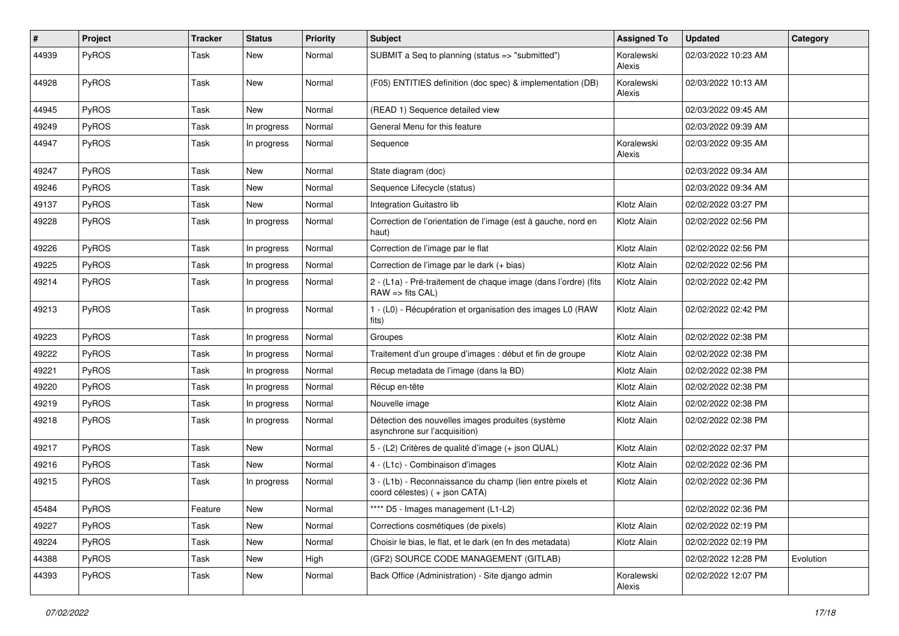| $\sharp$ | Project      | <b>Tracker</b> | <b>Status</b> | <b>Priority</b> | <b>Subject</b>                                                                             | <b>Assigned To</b>   | <b>Updated</b>      | Category  |
|----------|--------------|----------------|---------------|-----------------|--------------------------------------------------------------------------------------------|----------------------|---------------------|-----------|
| 44939    | PyROS        | Task           | New           | Normal          | SUBMIT a Seq to planning (status => "submitted")                                           | Koralewski<br>Alexis | 02/03/2022 10:23 AM |           |
| 44928    | PyROS        | Task           | <b>New</b>    | Normal          | (F05) ENTITIES definition (doc spec) & implementation (DB)                                 | Koralewski<br>Alexis | 02/03/2022 10:13 AM |           |
| 44945    | PyROS        | Task           | <b>New</b>    | Normal          | (READ 1) Sequence detailed view                                                            |                      | 02/03/2022 09:45 AM |           |
| 49249    | <b>PyROS</b> | Task           | In progress   | Normal          | General Menu for this feature                                                              |                      | 02/03/2022 09:39 AM |           |
| 44947    | PyROS        | Task           | In progress   | Normal          | Sequence                                                                                   | Koralewski<br>Alexis | 02/03/2022 09:35 AM |           |
| 49247    | PyROS        | Task           | <b>New</b>    | Normal          | State diagram (doc)                                                                        |                      | 02/03/2022 09:34 AM |           |
| 49246    | PyROS        | Task           | <b>New</b>    | Normal          | Sequence Lifecycle (status)                                                                |                      | 02/03/2022 09:34 AM |           |
| 49137    | PyROS        | Task           | New           | Normal          | Integration Guitastro lib                                                                  | Klotz Alain          | 02/02/2022 03:27 PM |           |
| 49228    | PyROS        | Task           | In progress   | Normal          | Correction de l'orientation de l'image (est à gauche, nord en<br>haut)                     | Klotz Alain          | 02/02/2022 02:56 PM |           |
| 49226    | PyROS        | Task           | In progress   | Normal          | Correction de l'image par le flat                                                          | Klotz Alain          | 02/02/2022 02:56 PM |           |
| 49225    | PyROS        | Task           | In progress   | Normal          | Correction de l'image par le dark (+ bias)                                                 | Klotz Alain          | 02/02/2022 02:56 PM |           |
| 49214    | PyROS        | Task           | In progress   | Normal          | 2 - (L1a) - Pré-traitement de chaque image (dans l'ordre) (fits<br>$RAW =$ fits $CAL$ )    | Klotz Alain          | 02/02/2022 02:42 PM |           |
| 49213    | PyROS        | Task           | In progress   | Normal          | 1 - (L0) - Récupération et organisation des images L0 (RAW<br>fits)                        | Klotz Alain          | 02/02/2022 02:42 PM |           |
| 49223    | PyROS        | Task           | In progress   | Normal          | Groupes                                                                                    | Klotz Alain          | 02/02/2022 02:38 PM |           |
| 49222    | PyROS        | Task           | In progress   | Normal          | Traitement d'un groupe d'images : début et fin de groupe                                   | Klotz Alain          | 02/02/2022 02:38 PM |           |
| 49221    | <b>PyROS</b> | Task           | In progress   | Normal          | Recup metadata de l'image (dans la BD)                                                     | Klotz Alain          | 02/02/2022 02:38 PM |           |
| 49220    | PyROS        | Task           | In progress   | Normal          | Récup en-tête                                                                              | Klotz Alain          | 02/02/2022 02:38 PM |           |
| 49219    | PyROS        | Task           | In progress   | Normal          | Nouvelle image                                                                             | Klotz Alain          | 02/02/2022 02:38 PM |           |
| 49218    | PyROS        | Task           | In progress   | Normal          | Détection des nouvelles images produites (système<br>asynchrone sur l'acquisition)         | Klotz Alain          | 02/02/2022 02:38 PM |           |
| 49217    | PyROS        | Task           | New           | Normal          | 5 - (L2) Critères de qualité d'image (+ json QUAL)                                         | Klotz Alain          | 02/02/2022 02:37 PM |           |
| 49216    | PyROS        | Task           | New           | Normal          | 4 - (L1c) - Combinaison d'images                                                           | Klotz Alain          | 02/02/2022 02:36 PM |           |
| 49215    | <b>PyROS</b> | Task           | In progress   | Normal          | 3 - (L1b) - Reconnaissance du champ (lien entre pixels et<br>coord célestes) (+ json CATA) | Klotz Alain          | 02/02/2022 02:36 PM |           |
| 45484    | PyROS        | Feature        | New           | Normal          | **** D5 - Images management (L1-L2)                                                        |                      | 02/02/2022 02:36 PM |           |
| 49227    | PyROS        | Task           | New           | Normal          | Corrections cosmétiques (de pixels)                                                        | Klotz Alain          | 02/02/2022 02:19 PM |           |
| 49224    | PyROS        | Task           | New           | Normal          | Choisir le bias, le flat, et le dark (en fn des metadata)                                  | Klotz Alain          | 02/02/2022 02:19 PM |           |
| 44388    | PyROS        | Task           | New           | High            | (GF2) SOURCE CODE MANAGEMENT (GITLAB)                                                      |                      | 02/02/2022 12:28 PM | Evolution |
| 44393    | PyROS        | Task           | New           | Normal          | Back Office (Administration) - Site django admin                                           | Koralewski<br>Alexis | 02/02/2022 12:07 PM |           |